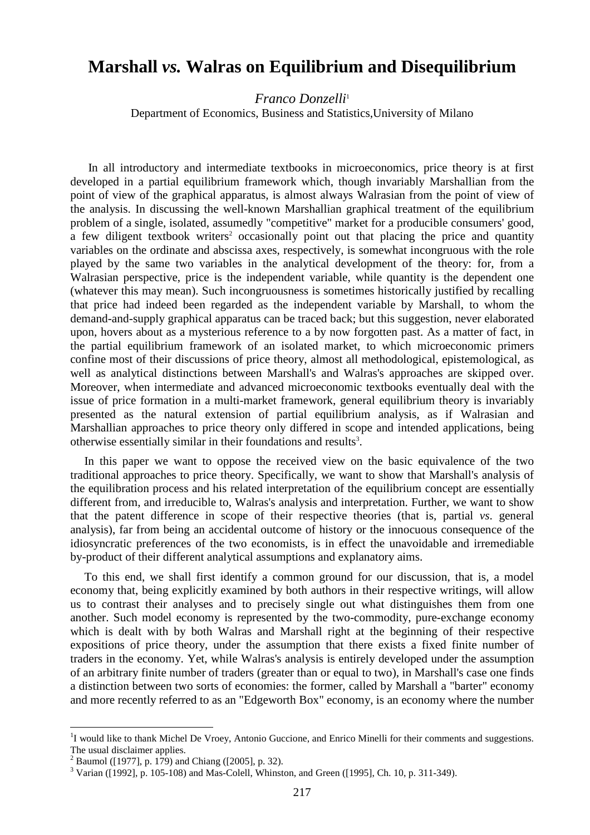# **Marshall** *vs.* **Walras on Equilibrium and Disequilibrium**

*Franco Donzelli*<sup>1</sup>

Department of Economics, Business and Statistics,University of Milano

 In all introductory and intermediate textbooks in microeconomics, price theory is at first developed in a partial equilibrium framework which, though invariably Marshallian from the point of view of the graphical apparatus, is almost always Walrasian from the point of view of the analysis. In discussing the well-known Marshallian graphical treatment of the equilibrium problem of a single, isolated, assumedly "competitive" market for a producible consumers' good, a few diligent textbook writers<sup>2</sup> occasionally point out that placing the price and quantity variables on the ordinate and abscissa axes, respectively, is somewhat incongruous with the role played by the same two variables in the analytical development of the theory: for, from a Walrasian perspective, price is the independent variable, while quantity is the dependent one (whatever this may mean). Such incongruousness is sometimes historically justified by recalling that price had indeed been regarded as the independent variable by Marshall, to whom the demand-and-supply graphical apparatus can be traced back; but this suggestion, never elaborated upon, hovers about as a mysterious reference to a by now forgotten past. As a matter of fact, in the partial equilibrium framework of an isolated market, to which microeconomic primers confine most of their discussions of price theory, almost all methodological, epistemological, as well as analytical distinctions between Marshall's and Walras's approaches are skipped over. Moreover, when intermediate and advanced microeconomic textbooks eventually deal with the issue of price formation in a multi-market framework, general equilibrium theory is invariably presented as the natural extension of partial equilibrium analysis, as if Walrasian and Marshallian approaches to price theory only differed in scope and intended applications, being otherwise essentially similar in their foundations and results<sup>3</sup>.

In this paper we want to oppose the received view on the basic equivalence of the two traditional approaches to price theory. Specifically, we want to show that Marshall's analysis of the equilibration process and his related interpretation of the equilibrium concept are essentially different from, and irreducible to, Walras's analysis and interpretation. Further, we want to show that the patent difference in scope of their respective theories (that is, partial *vs*. general analysis), far from being an accidental outcome of history or the innocuous consequence of the idiosyncratic preferences of the two economists, is in effect the unavoidable and irremediable by-product of their different analytical assumptions and explanatory aims.

To this end, we shall first identify a common ground for our discussion, that is, a model economy that, being explicitly examined by both authors in their respective writings, will allow us to contrast their analyses and to precisely single out what distinguishes them from one another. Such model economy is represented by the two-commodity, pure-exchange economy which is dealt with by both Walras and Marshall right at the beginning of their respective expositions of price theory, under the assumption that there exists a fixed finite number of traders in the economy. Yet, while Walras's analysis is entirely developed under the assumption of an arbitrary finite number of traders (greater than or equal to two), in Marshall's case one finds a distinction between two sorts of economies: the former, called by Marshall a "barter" economy and more recently referred to as an "Edgeworth Box" economy, is an economy where the number

<sup>&</sup>lt;sup>1</sup>I would like to thank Michel De Vroey, Antonio Guccione, and Enrico Minelli for their comments and suggestions. The usual disclaimer applies.<br><sup>2</sup> Baumol ([1977], p. 179) and Chiang ([2005], p. 32).

 $3 \text{ Varian}$  ([1992], p. 105-108) and Mas-Colell, Whinston, and Green ([1995], Ch. 10, p. 311-349).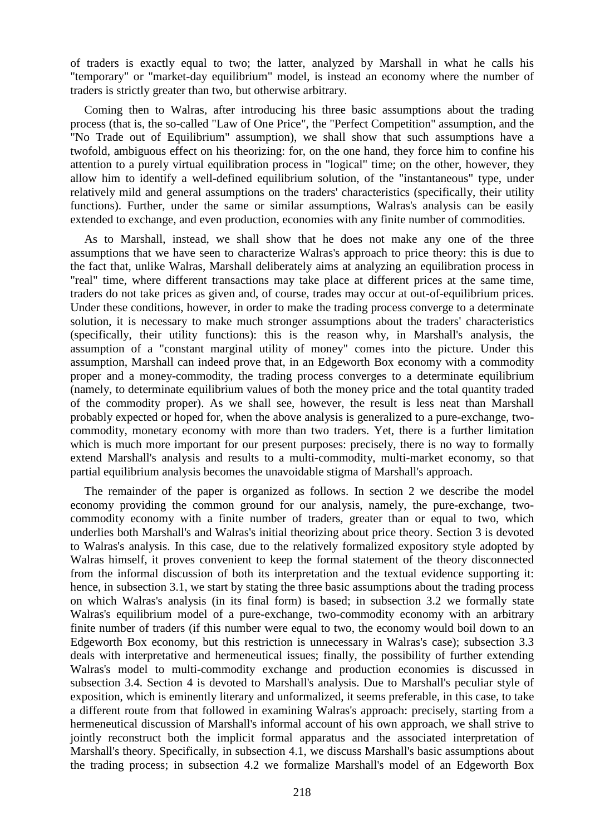of traders is exactly equal to two; the latter, analyzed by Marshall in what he calls his "temporary" or "market-day equilibrium" model, is instead an economy where the number of traders is strictly greater than two, but otherwise arbitrary.

Coming then to Walras, after introducing his three basic assumptions about the trading process (that is, the so-called "Law of One Price", the "Perfect Competition" assumption, and the "No Trade out of Equilibrium" assumption), we shall show that such assumptions have a twofold, ambiguous effect on his theorizing: for, on the one hand, they force him to confine his attention to a purely virtual equilibration process in "logical" time; on the other, however, they allow him to identify a well-defined equilibrium solution, of the "instantaneous" type, under relatively mild and general assumptions on the traders' characteristics (specifically, their utility functions). Further, under the same or similar assumptions, Walras's analysis can be easily extended to exchange, and even production, economies with any finite number of commodities.

As to Marshall, instead, we shall show that he does not make any one of the three assumptions that we have seen to characterize Walras's approach to price theory: this is due to the fact that, unlike Walras, Marshall deliberately aims at analyzing an equilibration process in "real" time, where different transactions may take place at different prices at the same time, traders do not take prices as given and, of course, trades may occur at out-of-equilibrium prices. Under these conditions, however, in order to make the trading process converge to a determinate solution, it is necessary to make much stronger assumptions about the traders' characteristics (specifically, their utility functions): this is the reason why, in Marshall's analysis, the assumption of a "constant marginal utility of money" comes into the picture. Under this assumption, Marshall can indeed prove that, in an Edgeworth Box economy with a commodity proper and a money-commodity, the trading process converges to a determinate equilibrium (namely, to determinate equilibrium values of both the money price and the total quantity traded of the commodity proper). As we shall see, however, the result is less neat than Marshall probably expected or hoped for, when the above analysis is generalized to a pure-exchange, twocommodity, monetary economy with more than two traders. Yet, there is a further limitation which is much more important for our present purposes: precisely, there is no way to formally extend Marshall's analysis and results to a multi-commodity, multi-market economy, so that partial equilibrium analysis becomes the unavoidable stigma of Marshall's approach.

The remainder of the paper is organized as follows. In section 2 we describe the model economy providing the common ground for our analysis, namely, the pure-exchange, twocommodity economy with a finite number of traders, greater than or equal to two, which underlies both Marshall's and Walras's initial theorizing about price theory. Section 3 is devoted to Walras's analysis. In this case, due to the relatively formalized expository style adopted by Walras himself, it proves convenient to keep the formal statement of the theory disconnected from the informal discussion of both its interpretation and the textual evidence supporting it: hence, in subsection 3.1, we start by stating the three basic assumptions about the trading process on which Walras's analysis (in its final form) is based; in subsection 3.2 we formally state Walras's equilibrium model of a pure-exchange, two-commodity economy with an arbitrary finite number of traders (if this number were equal to two, the economy would boil down to an Edgeworth Box economy, but this restriction is unnecessary in Walras's case); subsection 3.3 deals with interpretative and hermeneutical issues; finally, the possibility of further extending Walras's model to multi-commodity exchange and production economies is discussed in subsection 3.4. Section 4 is devoted to Marshall's analysis. Due to Marshall's peculiar style of exposition, which is eminently literary and unformalized, it seems preferable, in this case, to take a different route from that followed in examining Walras's approach: precisely, starting from a hermeneutical discussion of Marshall's informal account of his own approach, we shall strive to jointly reconstruct both the implicit formal apparatus and the associated interpretation of Marshall's theory. Specifically, in subsection 4.1, we discuss Marshall's basic assumptions about the trading process; in subsection 4.2 we formalize Marshall's model of an Edgeworth Box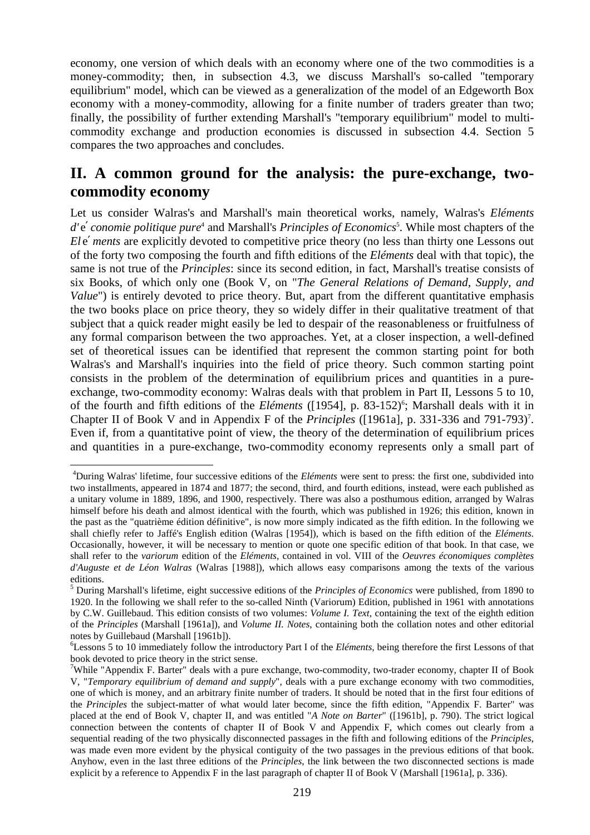economy, one version of which deals with an economy where one of the two commodities is a money-commodity; then, in subsection 4.3, we discuss Marshall's so-called "temporary equilibrium" model, which can be viewed as a generalization of the model of an Edgeworth Box economy with a money-commodity, allowing for a finite number of traders greater than two; finally, the possibility of further extending Marshall's "temporary equilibrium" model to multicommodity exchange and production economies is discussed in subsection 4.4. Section 5 compares the two approaches and concludes.

# **II. A common ground for the analysis: the pure-exchange, twocommodity economy**

Let us consider Walras's and Marshall's main theoretical works, namely, Walras's *Eléments*  d'e' conomie politique pure<sup>4</sup> and Marshall's *Principles of Economics*<sup>5</sup>. While most chapters of the *Ele' ments* are explicitly devoted to competitive price theory (no less than thirty one Lessons out of the forty two composing the fourth and fifth editions of the *Eléments* deal with that topic), the same is not true of the *Principles*: since its second edition, in fact, Marshall's treatise consists of six Books, of which only one (Book V, on "*The General Relations of Demand, Supply, and Value*") is entirely devoted to price theory. But, apart from the different quantitative emphasis the two books place on price theory, they so widely differ in their qualitative treatment of that subject that a quick reader might easily be led to despair of the reasonableness or fruitfulness of any formal comparison between the two approaches. Yet, at a closer inspection, a well-defined set of theoretical issues can be identified that represent the common starting point for both Walras's and Marshall's inquiries into the field of price theory. Such common starting point consists in the problem of the determination of equilibrium prices and quantities in a pureexchange, two-commodity economy: Walras deals with that problem in Part II, Lessons 5 to 10, of the fourth and fifth editions of the *Eléments* ([1954], p. 83-152)<sup>6</sup>; Marshall deals with it in Chapter II of Book V and in Appendix F of the *Principles* ([1961a], p. 331-336 and 791-793)<sup>7</sup>. Even if, from a quantitative point of view, the theory of the determination of equilibrium prices and quantities in a pure-exchange, two-commodity economy represents only a small part of

<sup>4</sup>During Walras' lifetime, four successive editions of the *Eléments* were sent to press: the first one, subdivided into two installments, appeared in 1874 and 1877; the second, third, and fourth editions, instead, were each published as a unitary volume in 1889, 1896, and 1900, respectively. There was also a posthumous edition, arranged by Walras himself before his death and almost identical with the fourth, which was published in 1926; this edition, known in the past as the "quatrième édition définitive", is now more simply indicated as the fifth edition. In the following we shall chiefly refer to Jaffé's English edition (Walras [1954]), which is based on the fifth edition of the *Eléments*. Occasionally, however, it will be necessary to mention or quote one specific edition of that book. In that case, we shall refer to the *variorum* edition of the *Eléments*, contained in vol. VIII of the *Oeuvres économiques complètes d'Auguste et de Léon Walras* (Walras [1988]), which allows easy comparisons among the texts of the various editions.

<sup>5</sup> During Marshall's lifetime, eight successive editions of the *Principles of Economics* were published, from 1890 to 1920. In the following we shall refer to the so-called Ninth (Variorum) Edition, published in 1961 with annotations by C.W. Guillebaud. This edition consists of two volumes: *Volume I. Text*, containing the text of the eighth edition of the *Principles* (Marshall [1961a]), and *Volume II. Notes*, containing both the collation notes and other editorial notes by Guillebaud (Marshall [1961b]).

<sup>6</sup>Lessons 5 to 10 immediately follow the introductory Part I of the *Eléments*, being therefore the first Lessons of that book devoted to price theory in the strict sense.

<sup>&</sup>lt;sup>7</sup>While "Appendix F. Barter" deals with a pure exchange, two-commodity, two-trader economy, chapter II of Book V, "*Temporary equilibrium of demand and supply*", deals with a pure exchange economy with two commodities, one of which is money, and an arbitrary finite number of traders. It should be noted that in the first four editions of the *Principles* the subject-matter of what would later become, since the fifth edition, "Appendix F. Barter" was placed at the end of Book V, chapter II, and was entitled "*A Note on Barter*" ([1961b], p. 790). The strict logical connection between the contents of chapter II of Book V and Appendix F, which comes out clearly from a sequential reading of the two physically disconnected passages in the fifth and following editions of the *Principles*, was made even more evident by the physical contiguity of the two passages in the previous editions of that book. Anyhow, even in the last three editions of the *Principles*, the link between the two disconnected sections is made explicit by a reference to Appendix F in the last paragraph of chapter II of Book V (Marshall [1961a], p. 336).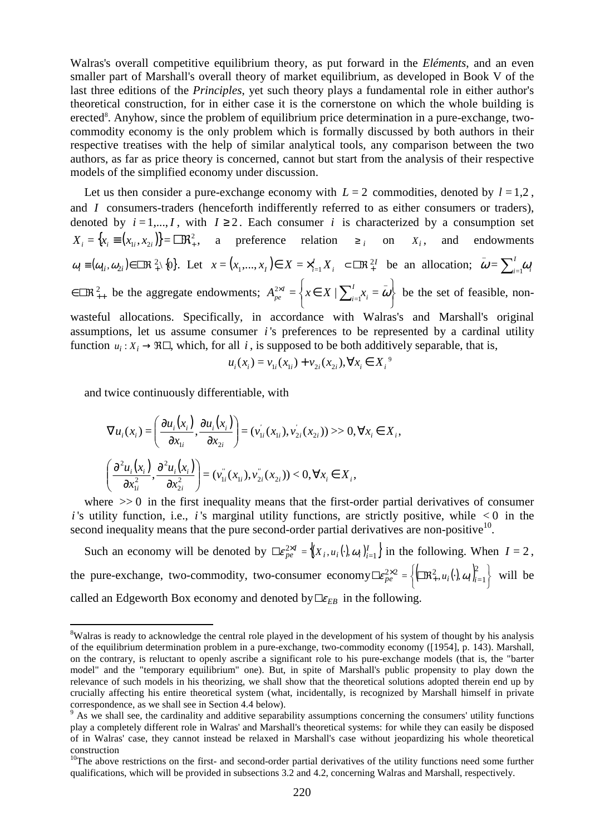Walras's overall competitive equilibrium theory, as put forward in the *Eléments*, and an even smaller part of Marshall's overall theory of market equilibrium, as developed in Book V of the last three editions of the *Principles*, yet such theory plays a fundamental role in either author's theoretical construction, for in either case it is the cornerstone on which the whole building is erected<sup>8</sup>. Anyhow, since the problem of equilibrium price determination in a pure-exchange, twocommodity economy is the only problem which is formally discussed by both authors in their respective treatises with the help of similar analytical tools, any comparison between the two authors, as far as price theory is concerned, cannot but start from the analysis of their respective models of the simplified economy under discussion.

Let us then consider a pure-exchange economy with  $L = 2$  commodities, denoted by  $l = 1,2$ , and *I* consumers-traders (henceforth indifferently referred to as either consumers or traders), denoted by  $i = 1,...,I$ , with  $I \ge 2$ . Each consumer *i* is characterized by a consumption set  $X_i = \{x_i \equiv (x_{1i}, x_{2i})\} = \Box R_i^2$ , a preference relation  $\geq i$  on  $X_i$ , and endowments  $\omega_i \equiv (\omega_i, \omega_{2i}) \in \mathbb{R}^2$  {0}. Let  $x = (x_1, \dots, x_t) \in X = \times_{i=1}^t X_i$   $\subset \mathbb{R}^2$  be an allocation;  $\omega = \sum_{i=1}^t \omega_i$  $\bar{\boldsymbol{\omega}} = \sum_{i=1}^I \omega_i$  $\in \mathbb{R}^2_{++}$  be the aggregate endowments;  $A_{pe}^{2\times I} = \left\{ x \in X \mid \sum_{i=1}^l x_i = \omega \right\}$  $\mathcal{L}$  $\overline{\mathcal{L}}$ ∤  $\chi^{\times I}_{e} = \left\{ x \in X \mid \sum_{i=1}^{I} x_{i} = a \right\}$  $=1$  $\sum_{pe}^{2\times I} = \left\{ x \in X \mid \sum_{i=1}^{I} x_i = \omega \right\}$ *i*  $A_{pe}^{\infty I} = \left\{ x \in X \mid \sum_{i=1}^{I} x_i = \omega \right\}$  be the set of feasible, nonwasteful allocations. Specifically, in accordance with Walras's and Marshall's original assumptions, let us assume consumer *i* 's preferences to be represented by a cardinal utility function  $u_i: X_i \to \Re \Box$ , which, for all *i*, is supposed to be both additively separable, that is,

$$
u_i(x_i) = v_{1i}(x_{1i}) + v_{2i}(x_{2i}), \forall x_i \in X_i^9
$$

and twice continuously differentiable, with

 $\overline{a}$ 

$$
\nabla u_i(x_i) = \left(\frac{\partial u_i(x_i)}{\partial x_{1i}}, \frac{\partial u_i(x_i)}{\partial x_{2i}}\right) = (v_{1i}^{\prime}(x_{1i}), v_{2i}^{\prime}(x_{2i})) >> 0, \forall x_i \in X_i,
$$
  

$$
\left(\frac{\partial^2 u_i(x_i)}{\partial x_{1i}^2}, \frac{\partial^2 u_i(x_i)}{\partial x_{2i}^2}\right) = (v_{1i}^{\prime\prime}(x_{1i}), v_{2i}^{\prime\prime}(x_{2i})) < 0, \forall x_i \in X_i,
$$

where  $\gg 0$  in the first inequality means that the first-order partial derivatives of consumer *i* 's utility function, i.e., *i* 's marginal utility functions, are strictly positive, while  $\lt 0$  in the second inequality means that the pure second-order partial derivatives are non-positive $10$ .

Such an economy will be denoted by  $\sum_{p} \mathcal{E}_{pe}^{2 \times I} = \{(X_i, u_i(\cdot), \omega_i)\}_{i=1}^I\}$  in the following. When  $I = 2$ , the pure-exchange, two-commodity, two-consumer economy  $\mathbb{E}e^{\lambda \times 2}_{pe} = \left\{\left(\mathbb{R}^2_+, u_i(\cdot), \omega_i\right)_{i=1}^2\right\}$  $\chi_e^{\times 2} = \left\{ (\Box \mathbb{R}_+^2, u_i(\cdot), \omega_i) \right\}_{i=1}^{\infty}$  $\Box \epsilon_{pe}^{2\times 2} = \left\{ \Box \Re^2_+, u_i(.) \omega_i \right\}_{i=1}^{\infty}$  will be called an Edgeworth Box economy and denoted by  $E_{EB}$  in the following.

<sup>&</sup>lt;sup>8</sup>Walras is ready to acknowledge the central role played in the development of his system of thought by his analysis of the equilibrium determination problem in a pure-exchange, two-commodity economy ([1954], p. 143). Marshall, on the contrary, is reluctant to openly ascribe a significant role to his pure-exchange models (that is, the "barter model" and the "temporary equilibrium" one). But, in spite of Marshall's public propensity to play down the relevance of such models in his theorizing, we shall show that the theoretical solutions adopted therein end up by crucially affecting his entire theoretical system (what, incidentally, is recognized by Marshall himself in private correspondence, as we shall see in Section 4.4 below).

<sup>&</sup>lt;sup>9</sup> As we shall see, the cardinality and additive separability assumptions concerning the consumers' utility functions play a completely different role in Walras' and Marshall's theoretical systems: for while they can easily be disposed of in Walras' case, they cannot instead be relaxed in Marshall's case without jeopardizing his whole theoretical construction

 $10$ The above restrictions on the first- and second-order partial derivatives of the utility functions need some further qualifications, which will be provided in subsections 3.2 and 4.2, concerning Walras and Marshall, respectively.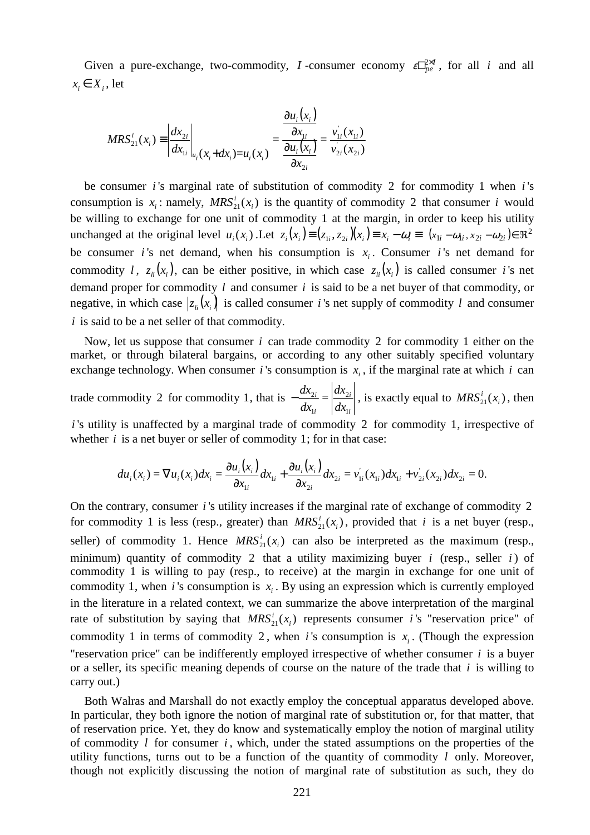Given a pure-exchange, two-commodity, *I*-consumer economy  $\epsilon \Box_{pe}^{2 \times I}$ , for all *i* and all  $x_i \in X_i$ , let

$$
MRS_{21}^{i}(x_{i}) = \left| \frac{dx_{2i}}{dx_{1i}} \right|_{u_{i}}(x_{i} + dx_{i}) = u_{i}(x_{i}) = \frac{\frac{\partial u_{i}(x_{i})}{\partial x_{1i}}}{\frac{\partial u_{i}(x_{i})}{\partial x_{2i}}} = \frac{v_{1i}^{'}(x_{1i})}{v_{2i}^{'}(x_{2i})}
$$

be consumer *i* 's marginal rate of substitution of commodity 2 for commodity 1 when *i* 's consumption is  $x_i$ : namely,  $MRS_{21}^i(x_i)$  is the quantity of commodity 2 that consumer *i* would be willing to exchange for one unit of commodity 1 at the margin, in order to keep his utility unchanged at the original level  $u_i(x_i)$ . Let  $z_i(x_i) = (z_{1i}, z_{2i})(x_i) = x_i - \omega_i = (x_{1i} - \omega_{1i}, x_{2i} - \omega_{2i}) \in \Re^2$ be consumer *i*'s net demand, when his consumption is  $x_i$ . Consumer *i*'s net demand for commodity *l*,  $z_{li}(x_i)$ , can be either positive, in which case  $z_{li}(x_i)$  is called consumer *i*'s net demand proper for commodity *l* and consumer *i* is said to be a net buyer of that commodity, or negative, in which case  $|z_{i}(x_i)|$  is called consumer *i*'s net supply of commodity *l* and consumer *i* is said to be a net seller of that commodity.

Now, let us suppose that consumer *i* can trade commodity 2 for commodity 1 either on the market, or through bilateral bargains, or according to any other suitably specified voluntary exchange technology. When consumer *i*'s consumption is  $x_i$ , if the marginal rate at which *i* can

trade commodity 2 for commodity 1, that is *i i i i dx dx dx dx* 1 2 1  $-\frac{dA_{2i}}{dx} = \left|\frac{dA_{2i}}{dx}\right|$ , is exactly equal to  $MRS_{21}^{i}(x_i)$ , then

*i* 's utility is unaffected by a marginal trade of commodity 2 for commodity 1, irrespective of whether  $i$  is a net buyer or seller of commodity 1; for in that case:

$$
du_i(x_i) = \nabla u_i(x_i) dx_i = \frac{\partial u_i(x_i)}{\partial x_{1i}} dx_{1i} + \frac{\partial u_i(x_i)}{\partial x_{2i}} dx_{2i} = v'_{1i}(x_{1i}) dx_{1i} + v'_{2i}(x_{2i}) dx_{2i} = 0.
$$

On the contrary, consumer *i* 's utility increases if the marginal rate of exchange of commodity 2 for commodity 1 is less (resp., greater) than  $MRS<sub>21</sub><sup>i</sup>(x<sub>i</sub>)$ , provided that *i* is a net buyer (resp., seller) of commodity 1. Hence  $MRS_{21}^i(x_i)$  can also be interpreted as the maximum (resp., minimum) quantity of commodity 2 that a utility maximizing buyer *i* (resp., seller *i* ) of commodity 1 is willing to pay (resp., to receive) at the margin in exchange for one unit of commodity 1, when *i*'s consumption is  $x_i$ . By using an expression which is currently employed in the literature in a related context, we can summarize the above interpretation of the marginal rate of substitution by saying that  $MRS_{21}^{i}(x_i)$  represents consumer *i*'s "reservation price" of commodity 1 in terms of commodity 2, when *i*'s consumption is  $x_i$ . (Though the expression "reservation price" can be indifferently employed irrespective of whether consumer *i* is a buyer or a seller, its specific meaning depends of course on the nature of the trade that *i* is willing to carry out.)

Both Walras and Marshall do not exactly employ the conceptual apparatus developed above. In particular, they both ignore the notion of marginal rate of substitution or, for that matter, that of reservation price. Yet, they do know and systematically employ the notion of marginal utility of commodity *l* for consumer *i* , which, under the stated assumptions on the properties of the utility functions, turns out to be a function of the quantity of commodity *l* only. Moreover, though not explicitly discussing the notion of marginal rate of substitution as such, they do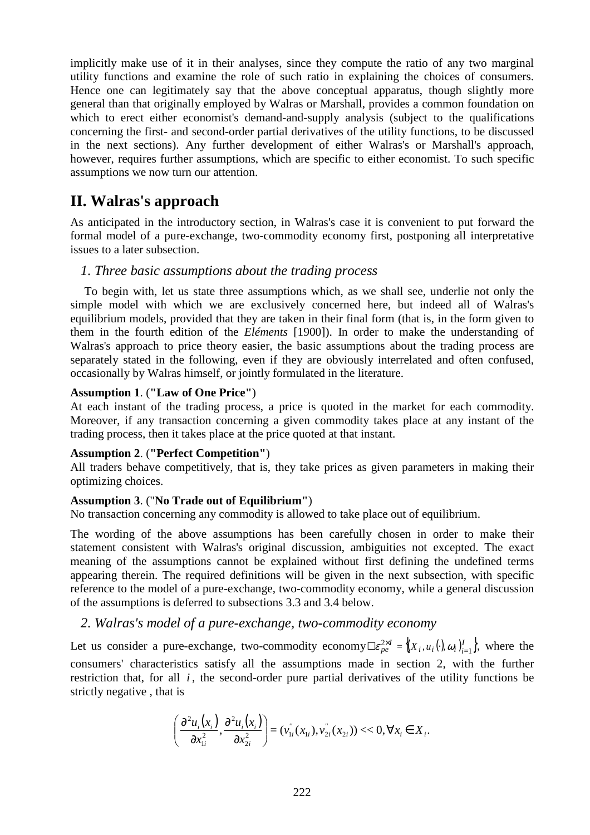implicitly make use of it in their analyses, since they compute the ratio of any two marginal utility functions and examine the role of such ratio in explaining the choices of consumers. Hence one can legitimately say that the above conceptual apparatus, though slightly more general than that originally employed by Walras or Marshall, provides a common foundation on which to erect either economist's demand-and-supply analysis (subject to the qualifications concerning the first- and second-order partial derivatives of the utility functions, to be discussed in the next sections). Any further development of either Walras's or Marshall's approach, however, requires further assumptions, which are specific to either economist. To such specific assumptions we now turn our attention.

# **II. Walras's approach**

As anticipated in the introductory section, in Walras's case it is convenient to put forward the formal model of a pure-exchange, two-commodity economy first, postponing all interpretative issues to a later subsection.

## *1. Three basic assumptions about the trading process*

To begin with, let us state three assumptions which, as we shall see, underlie not only the simple model with which we are exclusively concerned here, but indeed all of Walras's equilibrium models, provided that they are taken in their final form (that is, in the form given to them in the fourth edition of the *Eléments* [1900]). In order to make the understanding of Walras's approach to price theory easier, the basic assumptions about the trading process are separately stated in the following, even if they are obviously interrelated and often confused, occasionally by Walras himself, or jointly formulated in the literature.

### **Assumption 1**. (**"Law of One Price"**)

At each instant of the trading process, a price is quoted in the market for each commodity. Moreover, if any transaction concerning a given commodity takes place at any instant of the trading process, then it takes place at the price quoted at that instant.

## **Assumption 2**. (**"Perfect Competition"**)

All traders behave competitively, that is, they take prices as given parameters in making their optimizing choices.

## **Assumption 3**. ("**No Trade out of Equilibrium"**)

No transaction concerning any commodity is allowed to take place out of equilibrium.

The wording of the above assumptions has been carefully chosen in order to make their statement consistent with Walras's original discussion, ambiguities not excepted. The exact meaning of the assumptions cannot be explained without first defining the undefined terms appearing therein. The required definitions will be given in the next subsection, with specific reference to the model of a pure-exchange, two-commodity economy, while a general discussion of the assumptions is deferred to subsections 3.3 and 3.4 below.

## *2. Walras's model of a pure-exchange, two-commodity economy*

Let us consider a pure-exchange, two-commodity economy  $\Box \epsilon_{pe}^{2 \times I} = \{(X_i, u_i(\cdot), \omega_i)\}_{i=1}^I\}$ , where the consumers' characteristics satisfy all the assumptions made in section 2, with the further restriction that, for all  $i$ , the second-order pure partial derivatives of the utility functions be strictly negative , that is

$$
\left(\frac{\partial^2 u_i(x_i)}{\partial x_{1i}^2}, \frac{\partial^2 u_i(x_i)}{\partial x_{2i}^2}\right) = (v_{1i}^{''}(x_{1i}), v_{2i}^{''}(x_{2i})) << 0, \forall x_i \in X_i.
$$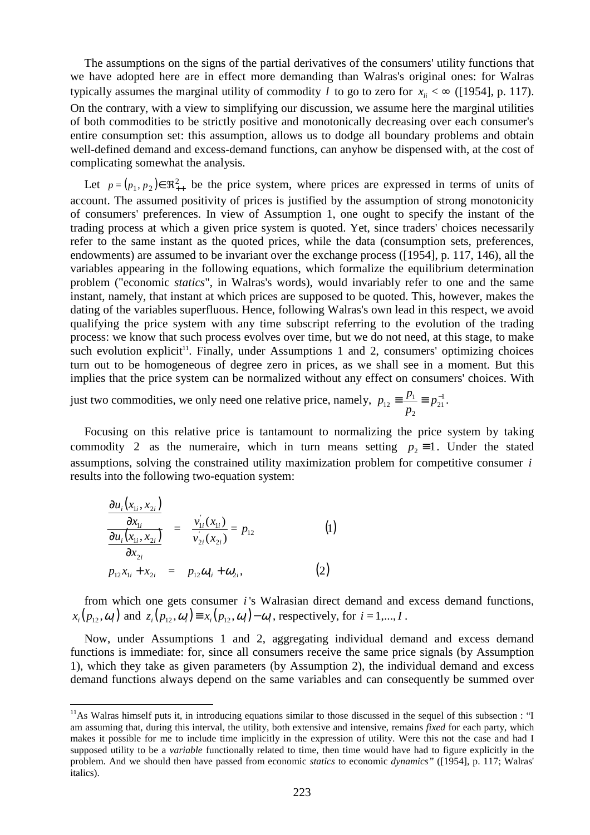The assumptions on the signs of the partial derivatives of the consumers' utility functions that we have adopted here are in effect more demanding than Walras's original ones: for Walras typically assumes the marginal utility of commodity *l* to go to zero for  $x_i < \infty$  ([1954], p. 117). On the contrary, with a view to simplifying our discussion, we assume here the marginal utilities of both commodities to be strictly positive and monotonically decreasing over each consumer's entire consumption set: this assumption, allows us to dodge all boundary problems and obtain well-defined demand and excess-demand functions, can anyhow be dispensed with, at the cost of complicating somewhat the analysis.

Let  $p = (p_1, p_2) \in \mathbb{R}^2_{++}$  be the price system, where prices are expressed in terms of units of account. The assumed positivity of prices is justified by the assumption of strong monotonicity of consumers' preferences. In view of Assumption 1, one ought to specify the instant of the trading process at which a given price system is quoted. Yet, since traders' choices necessarily refer to the same instant as the quoted prices, while the data (consumption sets, preferences, endowments) are assumed to be invariant over the exchange process ([1954], p. 117, 146), all the variables appearing in the following equations, which formalize the equilibrium determination problem ("economic *statics*", in Walras's words), would invariably refer to one and the same instant, namely, that instant at which prices are supposed to be quoted. This, however, makes the dating of the variables superfluous. Hence, following Walras's own lead in this respect, we avoid qualifying the price system with any time subscript referring to the evolution of the trading process: we know that such process evolves over time, but we do not need, at this stage, to make such evolution explicit<sup>11</sup>. Finally, under Assumptions 1 and 2, consumers' optimizing choices turn out to be homogeneous of degree zero in prices, as we shall see in a moment. But this implies that the price system can be normalized without any effect on consumers' choices. With

just two commodities, we only need one relative price, namely,  $p_{12} = \frac{p_1}{p_2} = p_{21}^{-1}$ 2  $p_{12} \equiv \frac{P_1}{P_2}$  $\equiv \frac{p_1}{p_2} \equiv p_2^$ *p*  $p_{12} \equiv \frac{p_1}{p_{21}} \equiv p_{21}^{-1}$ .

Focusing on this relative price is tantamount to normalizing the price system by taking commodity 2 as the numeraire, which in turn means setting  $p_2 \equiv 1$ . Under the stated assumptions, solving the constrained utility maximization problem for competitive consumer *i* results into the following two-equation system:

$$
\frac{\frac{\partial u_i(x_{1i}, x_{2i})}{\partial x_{1i}}}{\frac{\partial u_i(x_{1i}, x_{2i})}{\partial x_{2i}}} = \frac{v_{1i}^{'}(x_{1i})}{v_{2i}^{'}(x_{2i})} = p_{12}
$$
\n(1)  
\n
$$
p_{12}x_{1i} + x_{2i} = p_{12}\omega_{1i} + \omega_{2i},
$$
\n(2)

 $\overline{a}$ 

from which one gets consumer *i* 's Walrasian direct demand and excess demand functions,  $x_i(p_{12}, \omega_i)$  and  $z_i(p_{12}, \omega_i) \equiv x_i(p_{12}, \omega_i) - \omega_i$ , respectively, for  $i = 1, ..., I$ .

Now, under Assumptions 1 and 2, aggregating individual demand and excess demand functions is immediate: for, since all consumers receive the same price signals (by Assumption 1), which they take as given parameters (by Assumption 2), the individual demand and excess demand functions always depend on the same variables and can consequently be summed over

 $<sup>11</sup>$ As Walras himself puts it, in introducing equations similar to those discussed in the sequel of this subsection : "I</sup> am assuming that, during this interval, the utility, both extensive and intensive, remains *fixed* for each party, which makes it possible for me to include time implicitly in the expression of utility. Were this not the case and had I supposed utility to be a *variable* functionally related to time, then time would have had to figure explicitly in the problem. And we should then have passed from economic *statics* to economic *dynamics"* ([1954], p. 117; Walras' italics).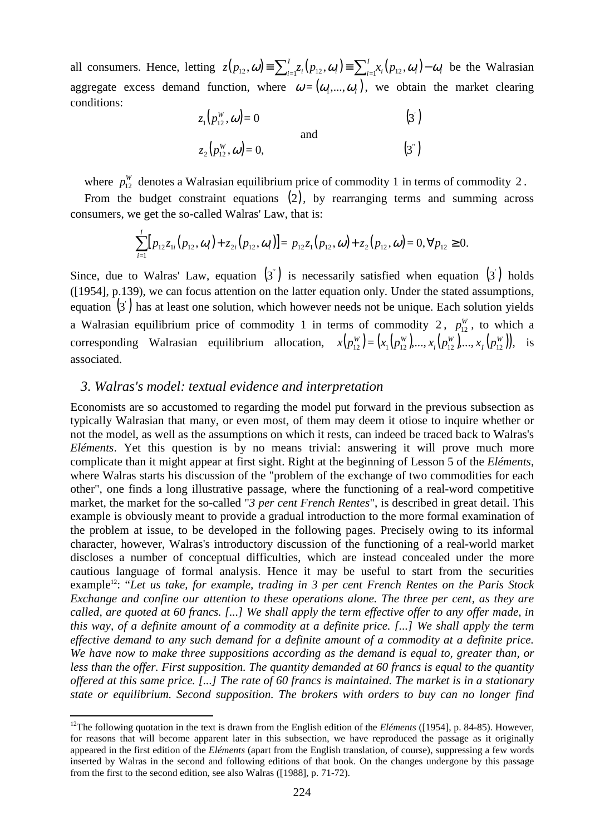all consumers. Hence, letting  $z(p_{12}, \omega) \equiv \sum_{i=1}^{I} z_i(p_{12}, \omega_i) \equiv \sum_{i=1}^{I} x_i(p_{12}, \omega_i) - \omega_i$  $\mu_1$   $\mu_2$ ,  $\omega_i$   $\mu$   $\mu$ *I*  $z(p_{12}, \omega) = \sum_{i=1}^{I} z_i(p_{12}, \omega_i) = \sum_{i=1}^{I} x_i(p_{12}, \omega_i) - \omega_i$  be the Walrasian aggregate excess demand function, where  $\omega = (\omega_1, ..., \omega_l)$ , we obtain the market clearing conditions:

| $z_1(p_{12}^W,\omega)=0$     |     | $\left(3^{'}\right)$ |
|------------------------------|-----|----------------------|
| $z_2(p_{12}^W, \omega) = 0,$ | and | $(3^{n})$            |

where  $p_{12}^W$  denotes a Walrasian equilibrium price of commodity 1 in terms of commodity 2.

From the budget constraint equations (2), by rearranging terms and summing across consumers, we get the so-called Walras' Law, that is:

$$
\sum_{i=1}^{I} [p_{12}z_{1i}(p_{12},\omega_i)+z_{2i}(p_{12},\omega_i)] = p_{12}z_1(p_{12},\omega)+z_2(p_{12},\omega) = 0, \forall p_{12} \geq 0.
$$

Since, due to Walras' Law, equation  $\left(3^{r}\right)$  is necessarily satisfied when equation  $\left(3^{r}\right)$  holds ([1954], p.139), we can focus attention on the latter equation only. Under the stated assumptions, equation  $\left( 3 \right)$  has at least one solution, which however needs not be unique. Each solution yields a Walrasian equilibrium price of commodity 1 in terms of commodity 2,  $p_{12}^W$ , to which a corresponding Walrasian equilibrium allocation,  $x(p_1^W)=(x_1(p_1^W),...,x_i(p_1^W),...,x_i(p_1^W))$ *I W i*  $x(p_{12}^W) = (x_1(p_{12}^W),...,x_i(p_{12}^W),...,x_i(p_{12}^W)),$  is associated.

### *3. Walras's model: textual evidence and interpretation*

 $\overline{a}$ 

Economists are so accustomed to regarding the model put forward in the previous subsection as typically Walrasian that many, or even most, of them may deem it otiose to inquire whether or not the model, as well as the assumptions on which it rests, can indeed be traced back to Walras's *Eléments*. Yet this question is by no means trivial: answering it will prove much more complicate than it might appear at first sight. Right at the beginning of Lesson 5 of the *Eléments*, where Walras starts his discussion of the "problem of the exchange of two commodities for each other", one finds a long illustrative passage, where the functioning of a real-word competitive market, the market for the so-called "*3 per cent French Rentes*", is described in great detail. This example is obviously meant to provide a gradual introduction to the more formal examination of the problem at issue, to be developed in the following pages. Precisely owing to its informal character, however, Walras's introductory discussion of the functioning of a real-world market discloses a number of conceptual difficulties, which are instead concealed under the more cautious language of formal analysis. Hence it may be useful to start from the securities example<sup>12</sup>: "Let us take, for example, trading in 3 per cent French Rentes on the Paris Stock *Exchange and confine our attention to these operations alone. The three per cent, as they are called, are quoted at 60 francs. [...] We shall apply the term effective offer to any offer made, in this way, of a definite amount of a commodity at a definite price. [...] We shall apply the term effective demand to any such demand for a definite amount of a commodity at a definite price. We have now to make three suppositions according as the demand is equal to, greater than, or less than the offer. First supposition. The quantity demanded at 60 francs is equal to the quantity offered at this same price. [...] The rate of 60 francs is maintained. The market is in a stationary state or equilibrium. Second supposition. The brokers with orders to buy can no longer find* 

<sup>&</sup>lt;sup>12</sup>The following quotation in the text is drawn from the English edition of the *Eléments* ([1954], p. 84-85). However, for reasons that will become apparent later in this subsection, we have reproduced the passage as it originally appeared in the first edition of the *Eléments* (apart from the English translation, of course), suppressing a few words inserted by Walras in the second and following editions of that book. On the changes undergone by this passage from the first to the second edition, see also Walras ([1988], p. 71-72).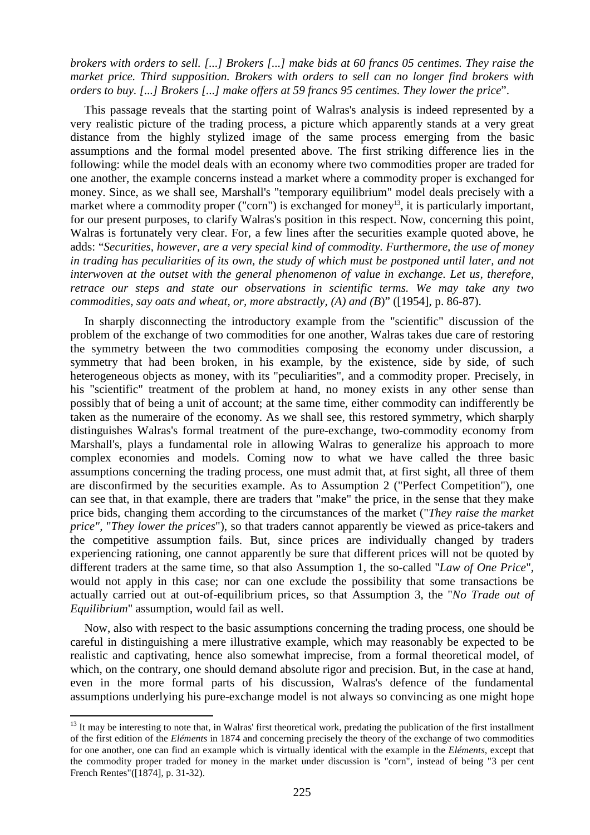*brokers with orders to sell. [...] Brokers [...] make bids at 60 francs 05 centimes. They raise the market price. Third supposition. Brokers with orders to sell can no longer find brokers with orders to buy. [...] Brokers [...] make offers at 59 francs 95 centimes. They lower the price*".

This passage reveals that the starting point of Walras's analysis is indeed represented by a very realistic picture of the trading process, a picture which apparently stands at a very great distance from the highly stylized image of the same process emerging from the basic assumptions and the formal model presented above. The first striking difference lies in the following: while the model deals with an economy where two commodities proper are traded for one another, the example concerns instead a market where a commodity proper is exchanged for money. Since, as we shall see, Marshall's "temporary equilibrium" model deals precisely with a market where a commodity proper ("corn") is exchanged for money<sup>13</sup>, it is particularly important, for our present purposes, to clarify Walras's position in this respect. Now, concerning this point, Walras is fortunately very clear. For, a few lines after the securities example quoted above, he adds: "*Securities, however, are a very special kind of commodity. Furthermore, the use of money in trading has peculiarities of its own, the study of which must be postponed until later, and not*  interwoven at the outset with the general phenomenon of value in exchange. Let us, therefore, *retrace our steps and state our observations in scientific terms. We may take any two commodities, say oats and wheat, or, more abstractly, (A) and (B*)" ([1954], p. 86-87).

In sharply disconnecting the introductory example from the "scientific" discussion of the problem of the exchange of two commodities for one another, Walras takes due care of restoring the symmetry between the two commodities composing the economy under discussion, a symmetry that had been broken, in his example, by the existence, side by side, of such heterogeneous objects as money, with its "peculiarities", and a commodity proper. Precisely, in his "scientific" treatment of the problem at hand, no money exists in any other sense than possibly that of being a unit of account; at the same time, either commodity can indifferently be taken as the numeraire of the economy. As we shall see, this restored symmetry, which sharply distinguishes Walras's formal treatment of the pure-exchange, two-commodity economy from Marshall's, plays a fundamental role in allowing Walras to generalize his approach to more complex economies and models. Coming now to what we have called the three basic assumptions concerning the trading process, one must admit that, at first sight, all three of them are disconfirmed by the securities example. As to Assumption 2 ("Perfect Competition"), one can see that, in that example, there are traders that "make" the price, in the sense that they make price bids, changing them according to the circumstances of the market ("*They raise the market price",* "*They lower the prices*"), so that traders cannot apparently be viewed as price-takers and the competitive assumption fails. But, since prices are individually changed by traders experiencing rationing, one cannot apparently be sure that different prices will not be quoted by different traders at the same time, so that also Assumption 1, the so-called "*Law of One Price*", would not apply in this case; nor can one exclude the possibility that some transactions be actually carried out at out-of-equilibrium prices, so that Assumption 3, the "*No Trade out of Equilibrium*" assumption, would fail as well.

Now, also with respect to the basic assumptions concerning the trading process, one should be careful in distinguishing a mere illustrative example, which may reasonably be expected to be realistic and captivating, hence also somewhat imprecise, from a formal theoretical model, of which, on the contrary, one should demand absolute rigor and precision. But, in the case at hand, even in the more formal parts of his discussion, Walras's defence of the fundamental assumptions underlying his pure-exchange model is not always so convincing as one might hope

<sup>&</sup>lt;sup>13</sup> It may be interesting to note that, in Walras' first theoretical work, predating the publication of the first installment of the first edition of the *Eléments* in 1874 and concerning precisely the theory of the exchange of two commodities for one another, one can find an example which is virtually identical with the example in the *Eléments*, except that the commodity proper traded for money in the market under discussion is "corn", instead of being "3 per cent French Rentes"([1874], p. 31-32).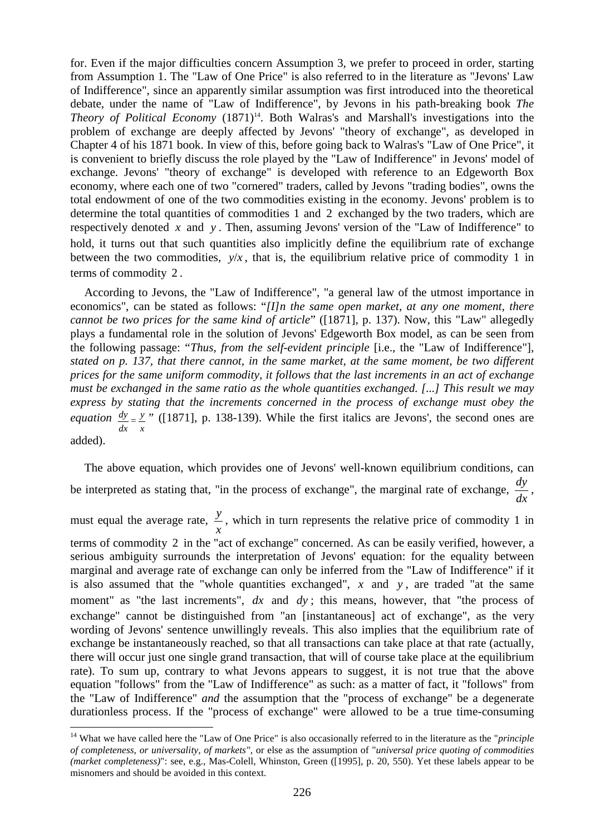for. Even if the major difficulties concern Assumption 3, we prefer to proceed in order, starting from Assumption 1. The "Law of One Price" is also referred to in the literature as "Jevons' Law of Indifference", since an apparently similar assumption was first introduced into the theoretical debate, under the name of "Law of Indifference", by Jevons in his path-breaking book *The Theory of Political Economy* (1871)<sup>14</sup>. Both Walras's and Marshall's investigations into the problem of exchange are deeply affected by Jevons' "theory of exchange", as developed in Chapter 4 of his 1871 book. In view of this, before going back to Walras's "Law of One Price", it is convenient to briefly discuss the role played by the "Law of Indifference" in Jevons' model of exchange. Jevons' "theory of exchange" is developed with reference to an Edgeworth Box economy, where each one of two "cornered" traders, called by Jevons "trading bodies", owns the total endowment of one of the two commodities existing in the economy. Jevons' problem is to determine the total quantities of commodities 1 and 2 exchanged by the two traders, which are respectively denoted *x* and *y* . Then, assuming Jevons' version of the "Law of Indifference" to hold, it turns out that such quantities also implicitly define the equilibrium rate of exchange between the two commodities,  $v/x$ , that is, the equilibrium relative price of commodity 1 in terms of commodity 2 .

According to Jevons, the "Law of Indifference", "a general law of the utmost importance in economics", can be stated as follows: "*[I]n the same open market, at any one moment, there cannot be two prices for the same kind of article*" ([1871], p. 137). Now, this "Law" allegedly plays a fundamental role in the solution of Jevons' Edgeworth Box model, as can be seen from the following passage: "*Thus, from the self-evident principle* [i.e., the "Law of Indifference"]*, stated on p. 137, that there cannot, in the same market, at the same moment, be two different prices for the same uniform commodity, it follows that the last increments in an act of exchange must be exchanged in the same ratio as the whole quantities exchanged. [...] This result we may express by stating that the increments concerned in the process of exchange must obey the equation x y dx*  $\frac{dy}{dx} = \frac{y}{x}$  ([1871], p. 138-139). While the first italics are Jevons', the second ones are added).

The above equation, which provides one of Jevons' well-known equilibrium conditions, can be interpreted as stating that, "in the process of exchange", the marginal rate of exchange, *dx*  $\frac{dy}{dx}$ , must equal the average rate, *x y* , which in turn represents the relative price of commodity 1 in terms of commodity 2 in the "act of exchange" concerned. As can be easily verified, however, a serious ambiguity surrounds the interpretation of Jevons' equation: for the equality between marginal and average rate of exchange can only be inferred from the "Law of Indifference" if it is also assumed that the "whole quantities exchanged",  $x$  and  $y$ , are traded "at the same moment" as "the last increments", dx and dy; this means, however, that "the process of exchange" cannot be distinguished from "an [instantaneous] act of exchange", as the very wording of Jevons' sentence unwillingly reveals. This also implies that the equilibrium rate of exchange be instantaneously reached, so that all transactions can take place at that rate (actually, there will occur just one single grand transaction, that will of course take place at the equilibrium rate). To sum up, contrary to what Jevons appears to suggest, it is not true that the above equation "follows" from the "Law of Indifference" as such: as a matter of fact, it "follows" from the "Law of Indifference" *and* the assumption that the "process of exchange" be a degenerate durationless process. If the "process of exchange" were allowed to be a true time-consuming

<sup>14</sup> What we have called here the "Law of One Price" is also occasionally referred to in the literature as the "*principle of completeness, or universality, of markets",* or else as the assumption of "*universal price quoting of commodities (market completeness)*": see, e.g., Mas-Colell, Whinston, Green ([1995], p. 20, 550). Yet these labels appear to be misnomers and should be avoided in this context.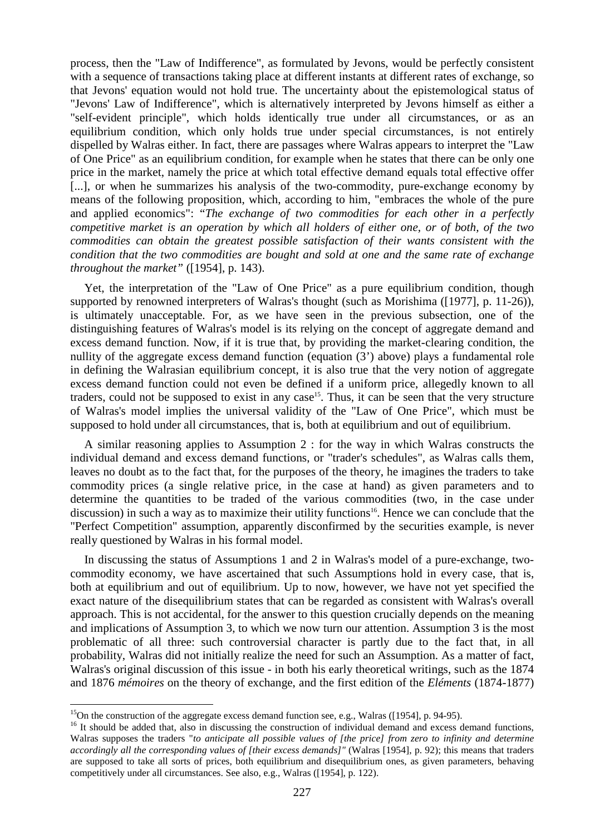process, then the "Law of Indifference", as formulated by Jevons, would be perfectly consistent with a sequence of transactions taking place at different instants at different rates of exchange, so that Jevons' equation would not hold true. The uncertainty about the epistemological status of "Jevons' Law of Indifference", which is alternatively interpreted by Jevons himself as either a "self-evident principle", which holds identically true under all circumstances, or as an equilibrium condition, which only holds true under special circumstances, is not entirely dispelled by Walras either. In fact, there are passages where Walras appears to interpret the "Law of One Price" as an equilibrium condition, for example when he states that there can be only one price in the market, namely the price at which total effective demand equals total effective offer [...], or when he summarizes his analysis of the two-commodity, pure-exchange economy by means of the following proposition, which, according to him, "embraces the whole of the pure and applied economics": "*The exchange of two commodities for each other in a perfectly competitive market is an operation by which all holders of either one, or of both, of the two commodities can obtain the greatest possible satisfaction of their wants consistent with the condition that the two commodities are bought and sold at one and the same rate of exchange throughout the market"* ([1954], p. 143).

Yet, the interpretation of the "Law of One Price" as a pure equilibrium condition, though supported by renowned interpreters of Walras's thought (such as Morishima ([1977], p. 11-26)), is ultimately unacceptable. For, as we have seen in the previous subsection, one of the distinguishing features of Walras's model is its relying on the concept of aggregate demand and excess demand function. Now, if it is true that, by providing the market-clearing condition, the nullity of the aggregate excess demand function (equation (3') above) plays a fundamental role in defining the Walrasian equilibrium concept, it is also true that the very notion of aggregate excess demand function could not even be defined if a uniform price, allegedly known to all traders, could not be supposed to exist in any case<sup>15</sup>. Thus, it can be seen that the very structure of Walras's model implies the universal validity of the "Law of One Price", which must be supposed to hold under all circumstances, that is, both at equilibrium and out of equilibrium.

A similar reasoning applies to Assumption 2 : for the way in which Walras constructs the individual demand and excess demand functions, or "trader's schedules", as Walras calls them, leaves no doubt as to the fact that, for the purposes of the theory, he imagines the traders to take commodity prices (a single relative price, in the case at hand) as given parameters and to determine the quantities to be traded of the various commodities (two, in the case under discussion) in such a way as to maximize their utility functions<sup>16</sup>. Hence we can conclude that the "Perfect Competition" assumption, apparently disconfirmed by the securities example, is never really questioned by Walras in his formal model.

In discussing the status of Assumptions 1 and 2 in Walras's model of a pure-exchange, twocommodity economy, we have ascertained that such Assumptions hold in every case, that is, both at equilibrium and out of equilibrium. Up to now, however, we have not yet specified the exact nature of the disequilibrium states that can be regarded as consistent with Walras's overall approach. This is not accidental, for the answer to this question crucially depends on the meaning and implications of Assumption 3, to which we now turn our attention. Assumption 3 is the most problematic of all three: such controversial character is partly due to the fact that, in all probability, Walras did not initially realize the need for such an Assumption. As a matter of fact, Walras's original discussion of this issue - in both his early theoretical writings, such as the 1874 and 1876 *mémoires* on the theory of exchange, and the first edition of the *Eléments* (1874-1877)

<sup>&</sup>lt;sup>15</sup>On the construction of the aggregate excess demand function see, e.g., Walras ([1954], p. 94-95).

<sup>&</sup>lt;sup>16</sup> It should be added that, also in discussing the construction of individual demand and excess demand functions, Walras supposes the traders "*to anticipate all possible values of [the price] from zero to infinity and determine accordingly all the corresponding values of [their excess demands]"* (Walras [1954], p. 92); this means that traders are supposed to take all sorts of prices, both equilibrium and disequilibrium ones, as given parameters, behaving competitively under all circumstances. See also, e.g., Walras ([1954], p. 122).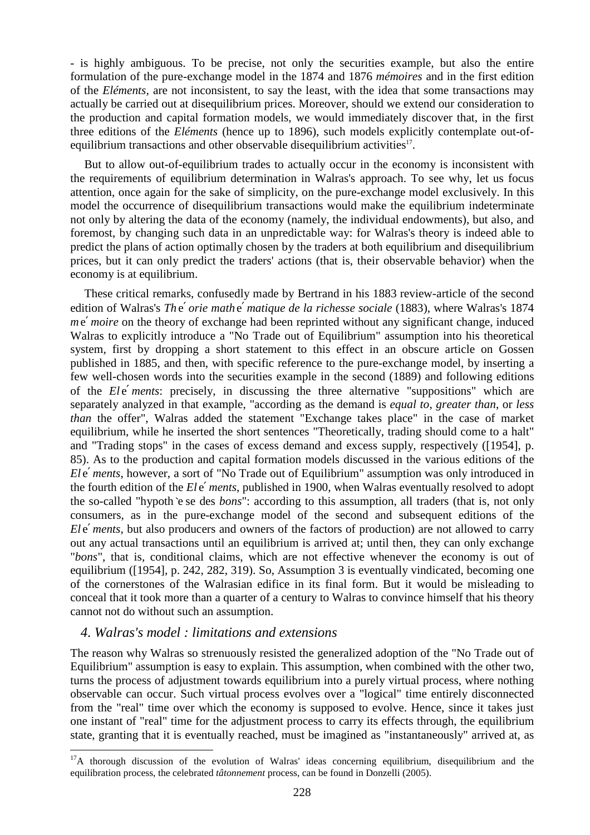- is highly ambiguous. To be precise, not only the securities example, but also the entire formulation of the pure-exchange model in the 1874 and 1876 *mémoires* and in the first edition of the *Eléments,* are not inconsistent, to say the least, with the idea that some transactions may actually be carried out at disequilibrium prices. Moreover, should we extend our consideration to the production and capital formation models, we would immediately discover that, in the first three editions of the *Eléments* (hence up to 1896), such models explicitly contemplate out-ofequilibrium transactions and other observable disequilibrium activities<sup>17</sup>.

But to allow out-of-equilibrium trades to actually occur in the economy is inconsistent with the requirements of equilibrium determination in Walras's approach. To see why, let us focus attention, once again for the sake of simplicity, on the pure-exchange model exclusively. In this model the occurrence of disequilibrium transactions would make the equilibrium indeterminate not only by altering the data of the economy (namely, the individual endowments), but also, and foremost, by changing such data in an unpredictable way: for Walras's theory is indeed able to predict the plans of action optimally chosen by the traders at both equilibrium and disequilibrium prices, but it can only predict the traders' actions (that is, their observable behavior) when the economy is at equilibrium.

These critical remarks, confusedly made by Bertrand in his 1883 review-article of the second edition of Walras's *Th* e′ *orie math* e′ *matique de la richesse sociale* (1883), where Walras's 1874 *me' moire* on the theory of exchange had been reprinted without any significant change, induced Walras to explicitly introduce a "No Trade out of Equilibrium" assumption into his theoretical system, first by dropping a short statement to this effect in an obscure article on Gossen published in 1885, and then, with specific reference to the pure-exchange model, by inserting a few well-chosen words into the securities example in the second (1889) and following editions of the *Ele' ments*: precisely, in discussing the three alternative "suppositions" which are separately analyzed in that example, "according as the demand is *equal to*, *greater than*, or *less than* the offer", Walras added the statement "Exchange takes place" in the case of market equilibrium, while he inserted the short sentences "Theoretically, trading should come to a halt" and "Trading stops" in the cases of excess demand and excess supply, respectively ([1954], p. 85). As to the production and capital formation models discussed in the various editions of the *El* e′ *ments*, however, a sort of "No Trade out of Equilibrium" assumption was only introduced in the fourth edition of the *El* e′ *ments*, published in 1900, when Walras eventually resolved to adopt the so-called "hypoth `e se des *bons*": according to this assumption, all traders (that is, not only consumers, as in the pure-exchange model of the second and subsequent editions of the *El* e' *ments*, but also producers and owners of the factors of production) are not allowed to carry out any actual transactions until an equilibrium is arrived at; until then, they can only exchange "*bons*", that is, conditional claims, which are not effective whenever the economy is out of equilibrium ([1954], p. 242, 282, 319). So, Assumption 3 is eventually vindicated, becoming one of the cornerstones of the Walrasian edifice in its final form. But it would be misleading to conceal that it took more than a quarter of a century to Walras to convince himself that his theory cannot not do without such an assumption.

#### *4. Walras's model : limitations and extensions*

l

The reason why Walras so strenuously resisted the generalized adoption of the "No Trade out of Equilibrium" assumption is easy to explain. This assumption, when combined with the other two, turns the process of adjustment towards equilibrium into a purely virtual process, where nothing observable can occur. Such virtual process evolves over a "logical" time entirely disconnected from the "real" time over which the economy is supposed to evolve. Hence, since it takes just one instant of "real" time for the adjustment process to carry its effects through, the equilibrium state, granting that it is eventually reached, must be imagined as "instantaneously" arrived at, as

 $17A$  thorough discussion of the evolution of Walras' ideas concerning equilibrium, disequilibrium and the equilibration process, the celebrated *tâtonnement* process, can be found in Donzelli (2005).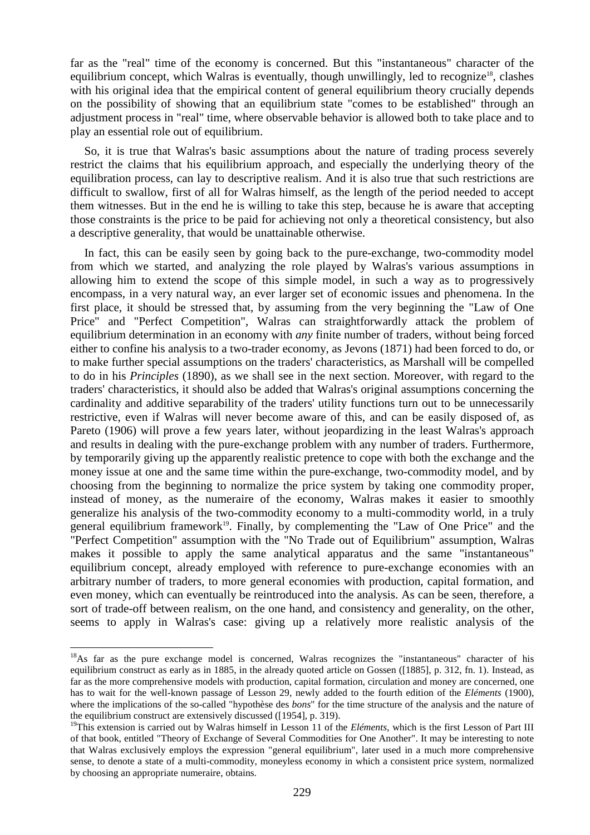far as the "real" time of the economy is concerned. But this "instantaneous" character of the equilibrium concept, which Walras is eventually, though unwillingly, led to recognize<sup>18</sup>, clashes with his original idea that the empirical content of general equilibrium theory crucially depends on the possibility of showing that an equilibrium state "comes to be established" through an adjustment process in "real" time, where observable behavior is allowed both to take place and to play an essential role out of equilibrium.

So, it is true that Walras's basic assumptions about the nature of trading process severely restrict the claims that his equilibrium approach, and especially the underlying theory of the equilibration process, can lay to descriptive realism. And it is also true that such restrictions are difficult to swallow, first of all for Walras himself, as the length of the period needed to accept them witnesses. But in the end he is willing to take this step, because he is aware that accepting those constraints is the price to be paid for achieving not only a theoretical consistency, but also a descriptive generality, that would be unattainable otherwise.

In fact, this can be easily seen by going back to the pure-exchange, two-commodity model from which we started, and analyzing the role played by Walras's various assumptions in allowing him to extend the scope of this simple model, in such a way as to progressively encompass, in a very natural way, an ever larger set of economic issues and phenomena. In the first place, it should be stressed that, by assuming from the very beginning the "Law of One Price" and "Perfect Competition", Walras can straightforwardly attack the problem of equilibrium determination in an economy with *any* finite number of traders, without being forced either to confine his analysis to a two-trader economy, as Jevons (1871) had been forced to do, or to make further special assumptions on the traders' characteristics, as Marshall will be compelled to do in his *Principles* (1890), as we shall see in the next section. Moreover, with regard to the traders' characteristics, it should also be added that Walras's original assumptions concerning the cardinality and additive separability of the traders' utility functions turn out to be unnecessarily restrictive, even if Walras will never become aware of this, and can be easily disposed of, as Pareto (1906) will prove a few years later, without jeopardizing in the least Walras's approach and results in dealing with the pure-exchange problem with any number of traders. Furthermore, by temporarily giving up the apparently realistic pretence to cope with both the exchange and the money issue at one and the same time within the pure-exchange, two-commodity model, and by choosing from the beginning to normalize the price system by taking one commodity proper, instead of money, as the numeraire of the economy, Walras makes it easier to smoothly generalize his analysis of the two-commodity economy to a multi-commodity world, in a truly general equilibrium framework<sup>19</sup>. Finally, by complementing the "Law of One Price" and the "Perfect Competition" assumption with the "No Trade out of Equilibrium" assumption, Walras makes it possible to apply the same analytical apparatus and the same "instantaneous" equilibrium concept, already employed with reference to pure-exchange economies with an arbitrary number of traders, to more general economies with production, capital formation, and even money, which can eventually be reintroduced into the analysis. As can be seen, therefore, a sort of trade-off between realism, on the one hand, and consistency and generality, on the other, seems to apply in Walras's case: giving up a relatively more realistic analysis of the

<sup>&</sup>lt;sup>18</sup>As far as the pure exchange model is concerned, Walras recognizes the "instantaneous" character of his equilibrium construct as early as in 1885, in the already quoted article on Gossen ([1885], p. 312, fn. 1). Instead, as far as the more comprehensive models with production, capital formation, circulation and money are concerned, one has to wait for the well-known passage of Lesson 29, newly added to the fourth edition of the *Eléments* (1900), where the implications of the so-called "hypothèse des *bons*" for the time structure of the analysis and the nature of the equilibrium construct are extensively discussed ([1954], p. 319).

<sup>&</sup>lt;sup>19</sup>This extension is carried out by Walras himself in Lesson 11 of the *Eléments*, which is the first Lesson of Part III of that book, entitled "Theory of Exchange of Several Commodities for One Another". It may be interesting to note that Walras exclusively employs the expression "general equilibrium", later used in a much more comprehensive sense, to denote a state of a multi-commodity, moneyless economy in which a consistent price system, normalized by choosing an appropriate numeraire, obtains.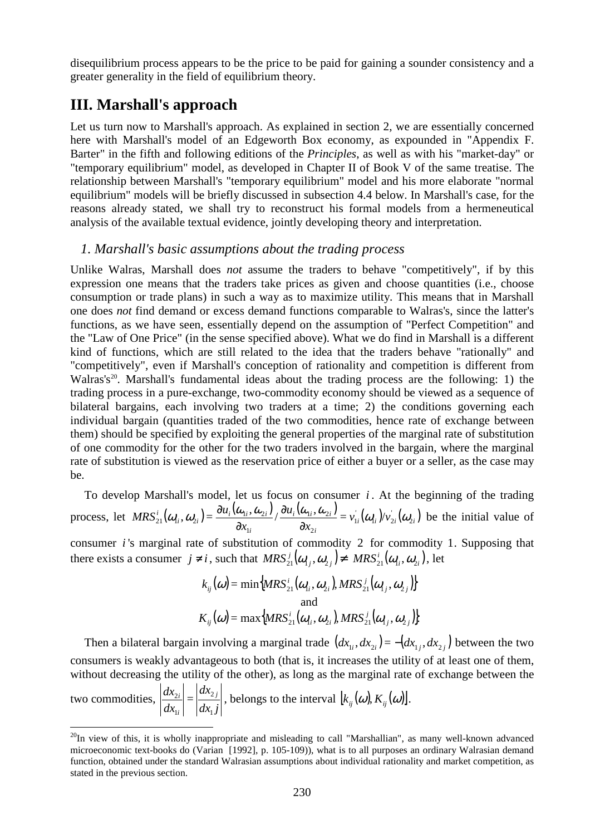disequilibrium process appears to be the price to be paid for gaining a sounder consistency and a greater generality in the field of equilibrium theory.

# **III. Marshall's approach**

 $\overline{a}$ 

Let us turn now to Marshall's approach. As explained in section 2, we are essentially concerned here with Marshall's model of an Edgeworth Box economy, as expounded in "Appendix F. Barter" in the fifth and following editions of the *Principles*, as well as with his "market-day" or "temporary equilibrium" model, as developed in Chapter II of Book V of the same treatise. The relationship between Marshall's "temporary equilibrium" model and his more elaborate "normal equilibrium" models will be briefly discussed in subsection 4.4 below. In Marshall's case, for the reasons already stated, we shall try to reconstruct his formal models from a hermeneutical analysis of the available textual evidence, jointly developing theory and interpretation.

#### *1. Marshall's basic assumptions about the trading process*

Unlike Walras, Marshall does *not* assume the traders to behave "competitively", if by this expression one means that the traders take prices as given and choose quantities (i.e., choose consumption or trade plans) in such a way as to maximize utility. This means that in Marshall one does *not* find demand or excess demand functions comparable to Walras's, since the latter's functions, as we have seen, essentially depend on the assumption of "Perfect Competition" and the "Law of One Price" (in the sense specified above). What we do find in Marshall is a different kind of functions, which are still related to the idea that the traders behave "rationally" and "competitively", even if Marshall's conception of rationality and competition is different from Walras's<sup>20</sup>. Marshall's fundamental ideas about the trading process are the following: 1) the trading process in a pure-exchange, two-commodity economy should be viewed as a sequence of bilateral bargains, each involving two traders at a time; 2) the conditions governing each individual bargain (quantities traded of the two commodities, hence rate of exchange between them) should be specified by exploiting the general properties of the marginal rate of substitution of one commodity for the other for the two traders involved in the bargain, where the marginal rate of substitution is viewed as the reservation price of either a buyer or a seller, as the case may be.

To develop Marshall's model, let us focus on consumer *i* . At the beginning of the trading process, let  $MRS_{21}^{i}(\omega_{1i}, \omega_{2i}) = \frac{\partial u_{i}(\omega_{1i}, \omega_{2i})}{\partial \omega_{1i}(\omega_{1i}, \omega_{2i})} = v'_{1i}(\omega_{1i})/v'_{2i}(\omega_{2i})$ *i*  $\mu_i$  **i**  $\omega_{2i}$ *i*  $\sum_{i}^{i}$ ,  $\omega_{2i}$ ) =  $\frac{\omega_{i} \cdot \omega_{i}}{2}$  $v_{21}^i(\omega_{1i},\omega_{2i}) = \frac{\partial u_{i1}^i(\omega_{1i},\omega_{2i})}{\partial \omega_{2i}^i} / \frac{\partial u_{i1}^i(\omega_{1i},\omega_{2i})}{\partial \omega_{2i}^i} = v_{1i}^i(\omega_{1i})/v_{2i}$ *x u x*  $MRS_{21}^i(\omega_{1i}, \omega_{2i}) = \frac{\partial u_i(\omega_{1i}, \omega_{2i})}{\partial \omega_{1i}^2} / \frac{\partial u_i(\omega_{1i}, \omega_{2i})}{\partial \omega_{2i}^2} = v_{1i}^i(\omega_{1i})/v_{2i}^i(\omega_{2i})$ 2  $_{1i}$ ,  $\omega_2$ 1  $\frac{d\dot{u}_1}{d\alpha_{1i}},\bm{\omega}_{2i}\bigl)=\frac{\partial u_i(\bm{\omega}_{1i},\bm{\omega}_{2i})}{\partial x_{1i}}/\frac{\partial u_i(\bm{\omega}_{1i},\bm{\omega}_{2i})}{\partial x_{2i}}=\nu_{1i}^{'}(\bm{\omega}_{1i})/\nu_{2i}^{'}(\bm{\omega}_{2i})$ ∂ ∂  $\frac{\partial u_i(\omega_{1i},\omega_{2i})}{\partial u_i(\omega_{1i},\omega_{2i})}$  =  $v'_{1i}(\omega_{1i})/v'_{2i}(\omega_{2i})$  be the initial value of

consumer *i* 's marginal rate of substitution of commodity 2 for commodity 1. Supposing that there exists a consumer  $j \neq i$ , such that  $MRS_{21}^j(\omega_{1j}, \omega_{2j}) \neq MRS_{21}^i(\omega_{1i}, \omega_{2i})$ , let

$$
k_{ij}(\omega) = \min\{MRS_{21}^i(\omega_{1i}, \omega_{2i}), MRS_{21}^j(\omega_{1j}, \omega_{2j})\}
$$
  
and  

$$
K_{ij}(\omega) = \max\{MRS_{21}^i(\omega_{1i}, \omega_{2i}), MRS_{21}^j(\omega_{1j}, \omega_{2j})\}
$$

Then a bilateral bargain involving a marginal trade  $(dx_{i}, dx_{i}) = -(dx_{i}, dx_{i})$  between the two consumers is weakly advantageous to both (that is, it increases the utility of at least one of them, without decreasing the utility of the other), as long as the marginal rate of exchange between the two commodities,  $dx_1 j$ *dx dx*  $dx_{2i}$   $dx_{2j}$ *i i* 1 2 1  $\left|\frac{2i}{l}\right| = \left|\frac{d^{(1)}(x)}{dt}\right|$ , belongs to the interval  $\left|k_{ij}(\omega), K_{ij}(\omega)\right|$ .

 $^{20}$ In view of this, it is wholly inappropriate and misleading to call "Marshallian", as many well-known advanced microeconomic text-books do (Varian [1992], p. 105-109)), what is to all purposes an ordinary Walrasian demand function, obtained under the standard Walrasian assumptions about individual rationality and market competition, as stated in the previous section.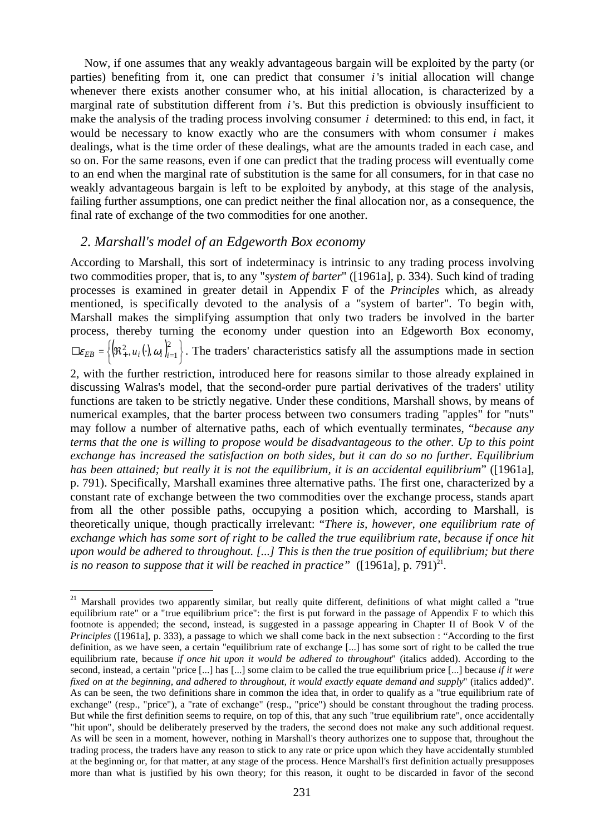Now, if one assumes that any weakly advantageous bargain will be exploited by the party (or parties) benefiting from it, one can predict that consumer *i* 's initial allocation will change whenever there exists another consumer who, at his initial allocation, is characterized by a marginal rate of substitution different from *i* 's. But this prediction is obviously insufficient to make the analysis of the trading process involving consumer  $i$  determined: to this end, in fact, it would be necessary to know exactly who are the consumers with whom consumer *i* makes dealings, what is the time order of these dealings, what are the amounts traded in each case, and so on. For the same reasons, even if one can predict that the trading process will eventually come to an end when the marginal rate of substitution is the same for all consumers, for in that case no weakly advantageous bargain is left to be exploited by anybody, at this stage of the analysis, failing further assumptions, one can predict neither the final allocation nor, as a consequence, the final rate of exchange of the two commodities for one another.

#### *2. Marshall's model of an Edgeworth Box economy*

 $\overline{a}$ 

According to Marshall, this sort of indeterminacy is intrinsic to any trading process involving two commodities proper, that is, to any "*system of barter*" ([1961a], p. 334). Such kind of trading processes is examined in greater detail in Appendix F of the *Principles* which, as already mentioned, is specifically devoted to the analysis of a "system of barter". To begin with, Marshall makes the simplifying assumption that only two traders be involved in the barter process, thereby turning the economy under question into an Edgeworth Box economy,  $\left(\!\mathfrak{R}^2_+,u_i\!\left(\cdot\right)\!,\omega_i\!\left.\!\right)_{i=1}^2\right\}$  $\left\{ (\mathfrak{R}^2_+, u_i(\cdot), \omega_i) \right\}_{i=1}^2$  $\Box \varepsilon_{EB} = \left\{ (\Re^2_+, u_i), \omega_i \right\}_{i=1}^{\infty}$ . The traders' characteristics satisfy all the assumptions made in section

2, with the further restriction, introduced here for reasons similar to those already explained in discussing Walras's model, that the second-order pure partial derivatives of the traders' utility functions are taken to be strictly negative. Under these conditions, Marshall shows, by means of numerical examples, that the barter process between two consumers trading "apples" for "nuts" may follow a number of alternative paths, each of which eventually terminates, "*because any terms that the one is willing to propose would be disadvantageous to the other. Up to this point exchange has increased the satisfaction on both sides, but it can do so no further. Equilibrium has been attained; but really it is not the equilibrium, it is an accidental equilibrium*" ([1961a], p. 791). Specifically, Marshall examines three alternative paths. The first one, characterized by a constant rate of exchange between the two commodities over the exchange process, stands apart from all the other possible paths, occupying a position which, according to Marshall, is theoretically unique, though practically irrelevant: "*There is, however, one equilibrium rate of exchange which has some sort of right to be called the true equilibrium rate, because if once hit upon would be adhered to throughout. [...] This is then the true position of equilibrium; but there*  is no reason to suppose that it will be reached in practice"  $(1961a]$ , p. 791 $)^{21}$ .

<sup>&</sup>lt;sup>21</sup> Marshall provides two apparently similar, but really quite different, definitions of what might called a "true equilibrium rate" or a "true equilibrium price": the first is put forward in the passage of Appendix F to which this footnote is appended; the second, instead, is suggested in a passage appearing in Chapter II of Book V of the *Principles* ([1961a], p. 333), a passage to which we shall come back in the next subsection : "According to the first definition, as we have seen, a certain "equilibrium rate of exchange [...] has some sort of right to be called the true equilibrium rate, because *if once hit upon it would be adhered to throughout*" (italics added). According to the second, instead, a certain "price [...] has [...] some claim to be called the true equilibrium price [...] because *if it were fixed on at the beginning, and adhered to throughout, it would exactly equate demand and supply*" (italics added)". As can be seen, the two definitions share in common the idea that, in order to qualify as a "true equilibrium rate of exchange" (resp., "price"), a "rate of exchange" (resp., "price") should be constant throughout the trading process. But while the first definition seems to require, on top of this, that any such "true equilibrium rate", once accidentally "hit upon", should be deliberately preserved by the traders, the second does not make any such additional request. As will be seen in a moment, however, nothing in Marshall's theory authorizes one to suppose that, throughout the trading process, the traders have any reason to stick to any rate or price upon which they have accidentally stumbled at the beginning or, for that matter, at any stage of the process. Hence Marshall's first definition actually presupposes more than what is justified by his own theory; for this reason, it ought to be discarded in favor of the second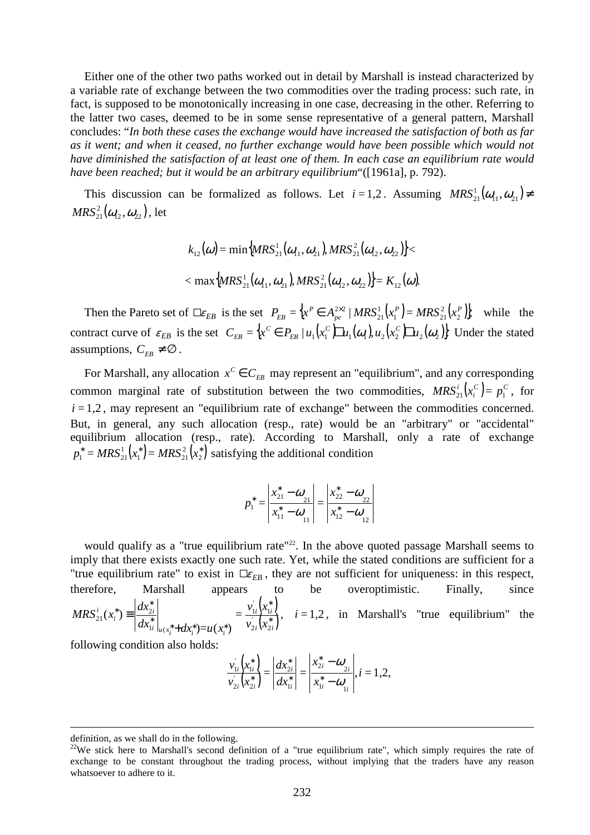Either one of the other two paths worked out in detail by Marshall is instead characterized by a variable rate of exchange between the two commodities over the trading process: such rate, in fact, is supposed to be monotonically increasing in one case, decreasing in the other. Referring to the latter two cases, deemed to be in some sense representative of a general pattern, Marshall concludes: "*In both these cases the exchange would have increased the satisfaction of both as far as it went; and when it ceased, no further exchange would have been possible which would not have diminished the satisfaction of at least one of them. In each case an equilibrium rate would have been reached; but it would be an arbitrary equilibrium*"([1961a], p. 792).

This discussion can be formalized as follows. Let  $i = 1, 2$ . Assuming  $MRS<sub>21</sub><sup>1</sup>(\omega<sub>11</sub>, \omega<sub>21</sub>) \neq$  $MRS^2_{21}(\boldsymbol{\omega}_{12},\boldsymbol{\omega}_{22})$  , let

$$
k_{12}(\omega) = \min \{ MRS_{21}^1(\omega_{11}, \omega_{21}), MRS_{21}^2(\omega_{12}, \omega_{22}) \} < \max \{ MRS_{21}^1(\omega_{11}, \omega_{21}), MRS_{21}^2(\omega_{12}, \omega_{22}) \} = K_{12}(\omega).
$$

Then the Pareto set of  $\Box \varepsilon_{EB}$  is the set  $P_{EB} = \{ x^P \in A_{pe}^{2 \times 2} | MRS_{21}^1(x_1^P) = MRS_{21}^2(x_2^P) \}$ 2  $1 - \mu$ <sub>1</sub> 21 1 21  $2\times2$  *P*  $\left[\sqrt{P}\right]$  *P*  $\left[\sqrt{P}\right]$  *P*  $\left[\sqrt{P}\right]$ *pe*  $P_{EB} = \left\{ x^P \in A_{pe}^{2 \times 2} \mid MRS_{21}^1(x_1^P) = MRS_{21}^2(x_2^P) \right\}$ , while the contract curve of  $\varepsilon_{EB}$  is the set  $C_{EB} = \{x^C \in P_{EB} | u_1(x^C) \prod u_1(\omega_1), u_2(x^C) \prod u_2(\omega_2)\}\$ *EB*  $E_{EB} = \{x^C \in P_{EB} \mid u_1(x_1^C) \sqcup u_1(\omega_1), u_2(x_2^C) \sqcup u_2(\omega_2)\}\$  Under the stated assumptions,  $C_{FR} \neq \emptyset$ .

For Marshall, any allocation  $x^C \in C_{EB}$  may represent an "equilibrium", and any corresponding common marginal rate of substitution between the two commodities,  $MRS_{21}^i(x_i^C) = p_1^C$  $MRS_{21}^{i}(x_i^C) = p_1^C$ , for  $i = 1, 2$ , may represent an "equilibrium rate of exchange" between the commodities concerned. But, in general, any such allocation (resp., rate) would be an "arbitrary" or "accidental" equilibrium allocation (resp., rate). According to Marshall, only a rate of exchange  $\mathcal{L}_1^* = MRS_{21}^1(x_1^*) = MRS_{21}^2(x_2^*)$ 2 2  $1 \mu$  $\mu$  $\mu$  $\mu$ <sub>21</sub>  $p_1^* = MRS_{21}^1(x_1^*) = MRS_{21}^2(x_2^*)$  satisfying the additional condition

$$
p_1^* = \left| \frac{x_{21}^* - \omega_{21}}{x_{11}^* - \omega_{11}} \right| = \left| \frac{x_{22}^* - \omega_{22}}{x_{12}^* - \omega_{12}} \right|
$$

would qualify as a "true equilibrium rate"<sup>22</sup>. In the above quoted passage Marshall seems to imply that there exists exactly one such rate. Yet, while the stated conditions are sufficient for a "true equilibrium rate" to exist in  $\Box \varepsilon_{EB}$ , they are not sufficient for uniqueness: in this respect, therefore, Marshall appears to be overoptimistic. Finally, since  $(x_{1i}^*)$  $\overline{x_i^*}$ ∗ \*  $\int_{u(x^* + dy^*)=u(x^*)}$ \*  $\frac{1}{2}dx_2^*$ + ≡  $\int_{2i}^{i} (x_{2i}^{*})$  $\int_{1i}^{x} (x_{1i}^*)$ *i*  $\big| u(x_i^* + dx_i^*) = u(x_i^*)$  $\binom{1}{i}$ *i*  $v_{2i}$   $(x$  $v_{1i} (x)$  $dx_{1i}^* \big|_{u(x_i^* + dx_i^*) = u(x_i^*)$  $MRS_{21}^{i}(x_{i}^{*}) \equiv \frac{dx}{1}$ 2i  $\binom{1}{2}$  $1i$   $\sqrt{1}$  $1i \mid u($  $\frac{i}{21}(x_i^*) \equiv \left| \frac{ax_{2i}}{1} \right|$  =  $)=u(x_i^*)$  $(x_i^*) \equiv \frac{d^{(1)}(x_i)}{dx_i}$  =  $\frac{d^{(1)}(x_i)}{dx_i}$ ,  $i = 1,2$ , in Marshall's "true equilibrium" the

following condition also holds:

$$
\frac{v_{1i}^{'}(x_{1i}^{*})}{v_{2i}^{'}(x_{2i}^{*})} = \left| \frac{dx_{2i}^{*}}{dx_{1i}^{*}} \right| = \left| \frac{x_{2i}^{*} - \omega_{2i}}{x_{1i}^{*} - \omega_{1i}} \right|, i = 1, 2,
$$

definition, as we shall do in the following.

<sup>&</sup>lt;sup>22</sup>We stick here to Marshall's second definition of a "true equilibrium rate", which simply requires the rate of exchange to be constant throughout the trading process, without implying that the traders have any reason whatsoever to adhere to it.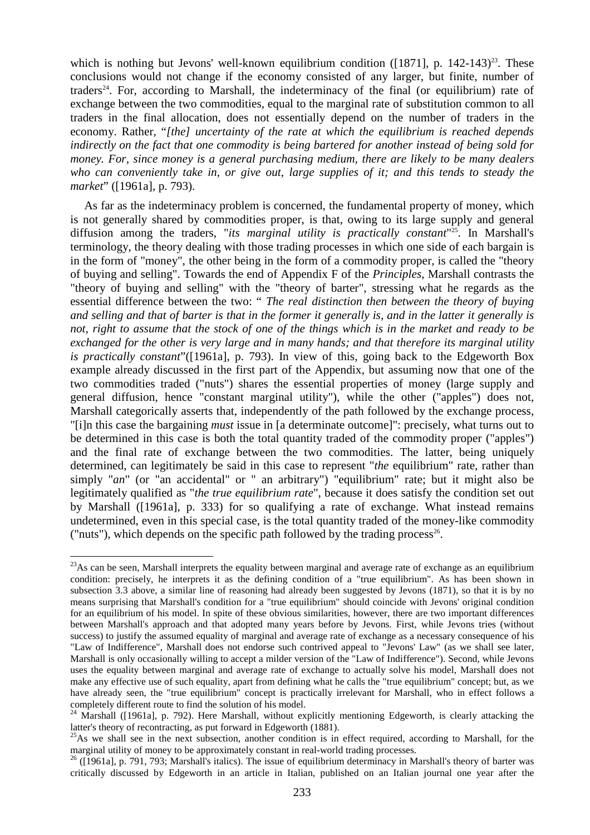which is nothing but Jevons' well-known equilibrium condition ( $[1871]$ , p.  $[142-143)^{23}$ . These conclusions would not change if the economy consisted of any larger, but finite, number of traders<sup>24</sup>. For, according to Marshall, the indeterminacy of the final (or equilibrium) rate of exchange between the two commodities, equal to the marginal rate of substitution common to all traders in the final allocation, does not essentially depend on the number of traders in the economy. Rather, "*[the] uncertainty of the rate at which the equilibrium is reached depends indirectly on the fact that one commodity is being bartered for another instead of being sold for money. For, since money is a general purchasing medium, there are likely to be many dealers who can conveniently take in, or give out, large supplies of it; and this tends to steady the market*" ([1961a], p. 793).

As far as the indeterminacy problem is concerned, the fundamental property of money, which is not generally shared by commodities proper, is that, owing to its large supply and general diffusion among the traders, "*its marginal utility is practically constant*" <sup>25</sup>. In Marshall's terminology, the theory dealing with those trading processes in which one side of each bargain is in the form of "money", the other being in the form of a commodity proper, is called the "theory of buying and selling". Towards the end of Appendix F of the *Principles*, Marshall contrasts the "theory of buying and selling" with the "theory of barter", stressing what he regards as the essential difference between the two: " *The real distinction then between the theory of buying and selling and that of barter is that in the former it generally is, and in the latter it generally is not, right to assume that the stock of one of the things which is in the market and ready to be exchanged for the other is very large and in many hands; and that therefore its marginal utility is practically constant*"([1961a], p. 793). In view of this, going back to the Edgeworth Box example already discussed in the first part of the Appendix, but assuming now that one of the two commodities traded ("nuts") shares the essential properties of money (large supply and general diffusion, hence "constant marginal utility"), while the other ("apples") does not, Marshall categorically asserts that, independently of the path followed by the exchange process, "[i]n this case the bargaining *must* issue in [a determinate outcome]": precisely, what turns out to be determined in this case is both the total quantity traded of the commodity proper ("apples") and the final rate of exchange between the two commodities. The latter, being uniquely determined, can legitimately be said in this case to represent "*the* equilibrium" rate, rather than simply "*an*" (or "an accidental" or " an arbitrary") "equilibrium" rate; but it might also be legitimately qualified as "*the true equilibrium rate*", because it does satisfy the condition set out by Marshall ([1961a], p. 333) for so qualifying a rate of exchange. What instead remains undetermined, even in this special case, is the total quantity traded of the money-like commodity ("nuts"), which depends on the specific path followed by the trading process<sup>26</sup>.

 $^{23}$ As can be seen, Marshall interprets the equality between marginal and average rate of exchange as an equilibrium condition: precisely, he interprets it as the defining condition of a "true equilibrium". As has been shown in subsection 3.3 above, a similar line of reasoning had already been suggested by Jevons (1871), so that it is by no means surprising that Marshall's condition for a "true equilibrium" should coincide with Jevons' original condition for an equilibrium of his model. In spite of these obvious similarities, however, there are two important differences between Marshall's approach and that adopted many years before by Jevons. First, while Jevons tries (without success) to justify the assumed equality of marginal and average rate of exchange as a necessary consequence of his "Law of Indifference", Marshall does not endorse such contrived appeal to "Jevons' Law" (as we shall see later, Marshall is only occasionally willing to accept a milder version of the "Law of Indifference"). Second, while Jevons uses the equality between marginal and average rate of exchange to actually solve his model, Marshall does not make any effective use of such equality, apart from defining what he calls the "true equilibrium" concept; but, as we have already seen, the "true equilibrium" concept is practically irrelevant for Marshall, who in effect follows a completely different route to find the solution of his model.

<sup>&</sup>lt;sup>24</sup> Marshall ([1961a], p. 792). Here Marshall, without explicitly mentioning Edgeworth, is clearly attacking the latter's theory of recontracting, as put forward in Edgeworth (1881).

 $^{25}$ As we shall see in the next subsection, another condition is in effect required, according to Marshall, for the marginal utility of money to be approximately constant in real-world trading processes.

<sup>&</sup>lt;sup>26</sup> ([1961a], p. 791, 793; Marshall's italics). The issue of equilibrium determinacy in Marshall's theory of barter was critically discussed by Edgeworth in an article in Italian, published on an Italian journal one year after the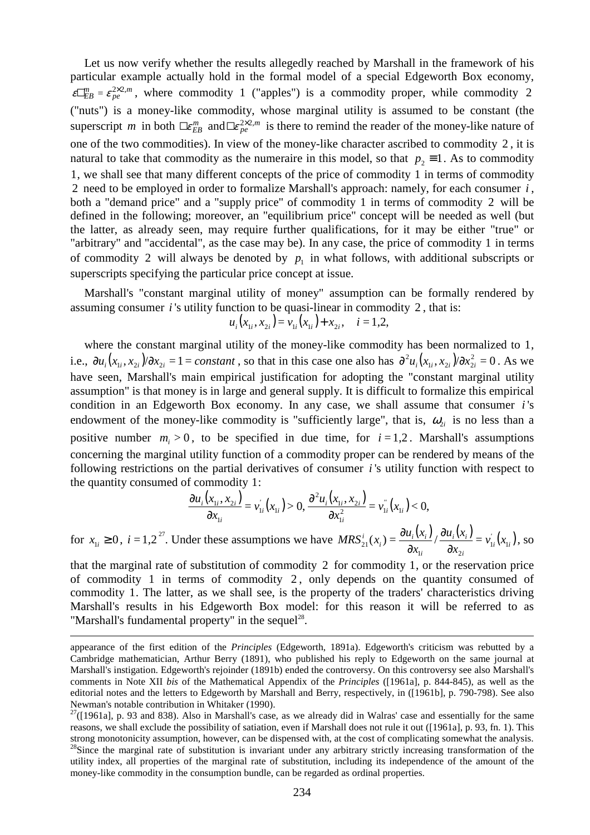Let us now verify whether the results allegedly reached by Marshall in the framework of his particular example actually hold in the formal model of a special Edgeworth Box economy,  $\varepsilon \Box_{EB}^m = \varepsilon_{pe}^{2 \times 2,m}$ , where commodity 1 ("apples") is a commodity proper, while commodity 2 ("nuts") is a money-like commodity, whose marginal utility is assumed to be constant (the superscript *m* in both  $\Box \epsilon_{EB}^m$  and  $\Box \epsilon_{pe}^{2\times 2,m}$  is there to remind the reader of the money-like nature of one of the two commodities). In view of the money-like character ascribed to commodity 2 , it is natural to take that commodity as the numeraire in this model, so that  $p_2 = 1$ . As to commodity 1, we shall see that many different concepts of the price of commodity 1 in terms of commodity 2 need to be employed in order to formalize Marshall's approach: namely, for each consumer *i* , both a "demand price" and a "supply price" of commodity 1 in terms of commodity 2 will be defined in the following; moreover, an "equilibrium price" concept will be needed as well (but the latter, as already seen, may require further qualifications, for it may be either "true" or "arbitrary" and "accidental", as the case may be). In any case, the price of commodity 1 in terms of commodity 2 will always be denoted by  $p_1$  in what follows, with additional subscripts or superscripts specifying the particular price concept at issue.

Marshall's "constant marginal utility of money" assumption can be formally rendered by assuming consumer *i* 's utility function to be quasi-linear in commodity 2 , that is:

$$
u_i(x_{1i}, x_{2i}) = v_{1i}(x_{1i}) + x_{2i}, \quad i = 1, 2,
$$

where the constant marginal utility of the money-like commodity has been normalized to 1, i.e.,  $\partial u_i(x_{1i}, x_{2i})/\partial x_{2i} = 1 = constant$ , so that in this case one also has  $\partial^2 u_i(x_{1i}, x_{2i})/\partial x_{2i}^2 = 0$  $_{1i}$ ,  $\lambda_{2i}$   $\mu$   $\sigma$  $\lambda_{2}$ 2  $\frac{\partial^2 u_i(x_{1i}, x_{2i})}{\partial x_{2i}^2} = 0$ . As we have seen, Marshall's main empirical justification for adopting the "constant marginal utility assumption" is that money is in large and general supply. It is difficult to formalize this empirical condition in an Edgeworth Box economy. In any case, we shall assume that consumer *i* 's endowment of the money-like commodity is "sufficiently large", that is,  $\omega_{2i}$  is no less than a positive number  $m_i > 0$ , to be specified in due time, for  $i = 1,2$ . Marshall's assumptions concerning the marginal utility function of a commodity proper can be rendered by means of the following restrictions on the partial derivatives of consumer *i* 's utility function with respect to the quantity consumed of commodity 1:

$$
\frac{\partial u_i(x_{1i}, x_{2i})}{\partial x_{1i}} = v'_{1i}(x_{1i}) > 0, \frac{\partial^2 u_i(x_{1i}, x_{2i})}{\partial x_{1i}^2} = v''_{1i}(x_{1i}) < 0,
$$

for  $x_{1i} \ge 0$ ,  $i = 1,2^{27}$ . Under these assumptions we have  $MRS_{21}^{i}(x_i) = \frac{\partial u_i(x_i)}{\partial x} / \frac{\partial u_i(x_i)}{\partial x} = v_{1i}^{i}(x_{1i})$ *i*  $i \mathcal{N}_i$ *i*  $\alpha_i$  =  $\frac{\partial u_i(\lambda_i)}{\partial u_i}$  $v_{21}^i(x_i) = \frac{ou_i(x_i)}{2} / \frac{ou_i(x_i)}{2} = v_{1i}^i(x_i)$ *x*  $u_i(x)$ *x*  $MRS_{21}^{i}(x_i) = \frac{\partial u_i(x_i)}{\partial x} / \frac{\partial u_i(x_i)}{\partial x} = v_{1i}^{i}(x_1)$  $\mathbf{u}_1$   $\mathbf{u}_2$  $\frac{i}{21}(x_i) = \frac{\partial u_i(x_i)}{\partial x_{1i}} / \frac{\partial u_i(x_i)}{\partial x_{2i}} =$ ∂ ∂  $\frac{\partial u_i(x_i)}{\partial}$  /  $\frac{\partial u_i(x_i)}{\partial}$  =  $v_{ii} (x_i)$ , so

that the marginal rate of substitution of commodity 2 for commodity 1, or the reservation price of commodity 1 in terms of commodity 2 , only depends on the quantity consumed of commodity 1. The latter, as we shall see, is the property of the traders' characteristics driving Marshall's results in his Edgeworth Box model: for this reason it will be referred to as "Marshall's fundamental property" in the sequel<sup>28</sup>.

appearance of the first edition of the *Principles* (Edgeworth, 1891a). Edgeworth's criticism was rebutted by a Cambridge mathematician, Arthur Berry (1891), who published his reply to Edgeworth on the same journal at Marshall's instigation. Edgeworth's rejoinder (1891b) ended the controversy. On this controversy see also Marshall's comments in Note XII *bis* of the Mathematical Appendix of the *Principles* ([1961a], p. 844-845), as well as the editorial notes and the letters to Edgeworth by Marshall and Berry, respectively, in ([1961b], p. 790-798). See also Newman's notable contribution in Whitaker (1990).

 $27$ ([1961a], p. 93 and 838). Also in Marshall's case, as we already did in Walras' case and essentially for the same reasons, we shall exclude the possibility of satiation, even if Marshall does not rule it out ([1961a], p. 93, fn. 1). This strong monotonicity assumption, however, can be dispensed with, at the cost of complicating somewhat the analysis. <sup>28</sup>Since the marginal rate of substitution is invariant under any arbitrary strictly increasing transformation of the utility index, all properties of the marginal rate of substitution, including its independence of the amount of the money-like commodity in the consumption bundle, can be regarded as ordinal properties.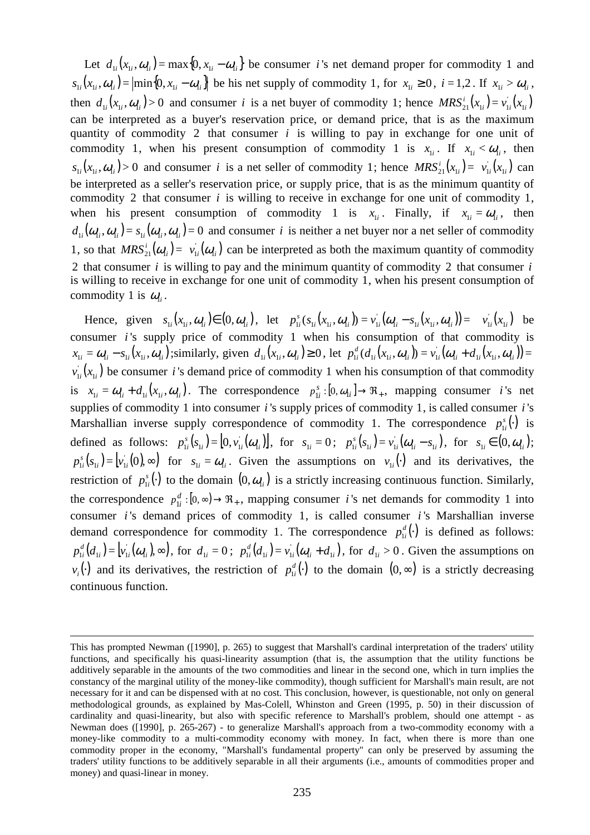Let  $d_{1i}(x_{1i}, \omega_{1i}) = \max\{0, x_{1i} - \omega_{1i}\}\$  be consumer *i*'s net demand proper for commodity 1 and  $s_{1i}(x_{1i}, \omega_{1i}) = \left| \min\{0, x_{1i} - \omega_{1i} \} \right|$  be his net supply of commodity 1, for  $x_{1i} \ge 0$ ,  $i = 1, 2$ . If  $x_{1i} > \omega_{1i}$ , then  $d_{1i}(x_{1i}, \omega_{1i}) > 0$  and consumer *i* is a net buyer of commodity 1; hence  $MRS_{21}^i(x_{1i}) = v_{1i}(x_{1i})$ can be interpreted as a buyer's reservation price, or demand price, that is as the maximum quantity of commodity 2 that consumer *i* is willing to pay in exchange for one unit of commodity 1, when his present consumption of commodity 1 is  $x_{1i}$ . If  $x_{1i} < \omega_{1i}$ , then  $s_{1i}(x_{1i}, \omega_{1i}) > 0$  and consumer *i* is a net seller of commodity 1; hence  $MRS_{21}^i(x_{1i}) = v_{1i}(x_{1i})$  can be interpreted as a seller's reservation price, or supply price, that is as the minimum quantity of commodity 2 that consumer *i* is willing to receive in exchange for one unit of commodity 1, when his present consumption of commodity 1 is  $x_{1i}$ . Finally, if  $x_{1i} = \omega_{1i}$ , then  $d_{1i}(\omega_{1i}, \omega_{1i}) = s_{1i}(\omega_{1i}, \omega_{1i}) = 0$  and consumer *i* is neither a net buyer nor a net seller of commodity 1, so that  $MRS_{21}^i(\omega_{1i}) = v_{1i}^j(\omega_{1i})$  can be interpreted as both the maximum quantity of commodity 2 that consumer *i* is willing to pay and the minimum quantity of commodity 2 that consumer *i* is willing to receive in exchange for one unit of commodity 1, when his present consumption of commodity 1 is  $\omega_{1i}$ .

Hence, given  $s_{1i}(x_{1i}, \omega_{1i}) \in (0, \omega_{1i})$ , let  $p_{1i}^s(s_{1i}(x_{1i}, \omega_{1i})) = v_{1i}^s(\omega_{1i} - s_{1i}(x_{1i}, \omega_{1i})) =$ *s*  $p_{1i}^s(s_{1i}(x_{1i}, a_{1i})) = v_{1i}^s(a_{1i} - s_{1i}(x_{1i}, a_{1i})) = v_{1i}^s(x_{1i})$  be consumer *i* 's supply price of commodity 1 when his consumption of that commodity is  $x_{1i} = \omega_{1i} - s_{1i}(x_{1i}, \omega_{1i})$ ; similarly, given  $d_{1i}(x_{1i}, \omega_{1i}) \ge 0$ , let  $p_{1i}^d(d_{1i}(x_{1i}, \omega_{1i})) = v_{1i}^d(\omega_{1i} + d_{1i}(x_{1i}, \omega_{1i})) =$ *d*  $p_{1i}^d(d_{1i}(x_{1i}, a_{1i})) = v_{1i}^d(a_{1i} + d_{1i}(x_{1i}, a_{1i}))$  $v'_{1i}(x_{1i})$  be consumer *i*'s demand price of commodity 1 when his consumption of that commodity is  $x_{1i} = \omega_{1i} + d_{1i}(x_{1i}, \omega_{1i})$ . The correspondence  $p_{1i}^s : [0, \omega_{1i}] \rightarrow \Re_+$  $p_{1i}^s$ :  $[0, \omega_{1i}] \rightarrow \Re_+$ , mapping consumer *i*'s net supplies of commodity 1 into consumer *i* 's supply prices of commodity 1, is called consumer *i* 's Marshallian inverse supply correspondence of commodity 1. The correspondence  $p_{i}^{s}(\cdot)$  $p_{1i}^s(\cdot)$  is defined as follows:  $p_{1i}^s (s_{1i}) = [0, v_{1i}^j (\omega_{1i})],$ *s*  $p_{1i}^s(s_{1i}) = [0, v_{1i}^j(\omega_{1i})],$  for  $s_{1i} = 0$ ;  $p_{1i}^s(s_{1i}) = v_{1i}^j(\omega_{1i} - s_{1i})$ *s*  $p_{1i}^s(s_{1i}) = v_{1i}^s(\omega_{1i} - s_{1i}), \text{ for } s_{1i} \in (0, \omega_{1i});$  $\mathbf{y}_{1i}^{s}(s_{1i}) = \mathbf{y}_{1i}^{'}(0), \infty$ *s*  $p_{1i}^s(s_{1i}) = \left[ v_{1i}^s(0), \infty \right]$  for  $s_{1i} = \omega_{1i}$ . Given the assumptions on  $v_{1i}(\cdot)$  and its derivatives, the restriction of  $p_{1i}^s(.)$  $p_{1i}^s(.)$  to the domain  $(0, \omega_{1i})$  is a strictly increasing continuous function. Similarly, the correspondence  $p_{1i}^d : [0, \infty) \to \Re_+$  $p_{1i}^d$ :  $[0, \infty) \rightarrow \Re_+$ , mapping consumer *i*'s net demands for commodity 1 into consumer *i* 's demand prices of commodity 1, is called consumer *i* 's Marshallian inverse demand correspondence for commodity 1. The correspondence  $p_{ii}^d(.)$  $p_{1i}^d(\cdot)$  is defined as follows:  $v_{1i}^d(d_{1i}) = [v_{1i}^{'}(a_{1i}), \infty),$ *d*  $p_{1i}^d(d_{1i}) = \left[ v_{1i}^{\prime}(\omega_{1i}), \infty \right], \text{ for } d_{1i} = 0; \ \ p_{1i}^d(d_{1i}) = v_{1i}^{\prime}(\omega_{1i} + d_{1i})$ *d*  $p_{1i}^d(d_{1i}) = v_{1i}^d(\omega_{1i} + d_{1i}),$  for  $d_{1i} > 0$ . Given the assumptions on  $v_i(\cdot)$  and its derivatives, the restriction of  $p_{ii}^d(\cdot)$  $p_{1i}^d(.)$  to the domain  $(0, \infty)$  is a strictly decreasing continuous function.

This has prompted Newman ([1990], p. 265) to suggest that Marshall's cardinal interpretation of the traders' utility functions, and specifically his quasi-linearity assumption (that is, the assumption that the utility functions be additively separable in the amounts of the two commodities and linear in the second one, which in turn implies the constancy of the marginal utility of the money-like commodity), though sufficient for Marshall's main result, are not necessary for it and can be dispensed with at no cost. This conclusion, however, is questionable, not only on general methodological grounds, as explained by Mas-Colell, Whinston and Green (1995, p. 50) in their discussion of cardinality and quasi-linearity, but also with specific reference to Marshall's problem, should one attempt - as Newman does ([1990], p. 265-267) - to generalize Marshall's approach from a two-commodity economy with a money-like commodity to a multi-commodity economy with money. In fact, when there is more than one commodity proper in the economy, "Marshall's fundamental property" can only be preserved by assuming the traders' utility functions to be additively separable in all their arguments (i.e., amounts of commodities proper and money) and quasi-linear in money.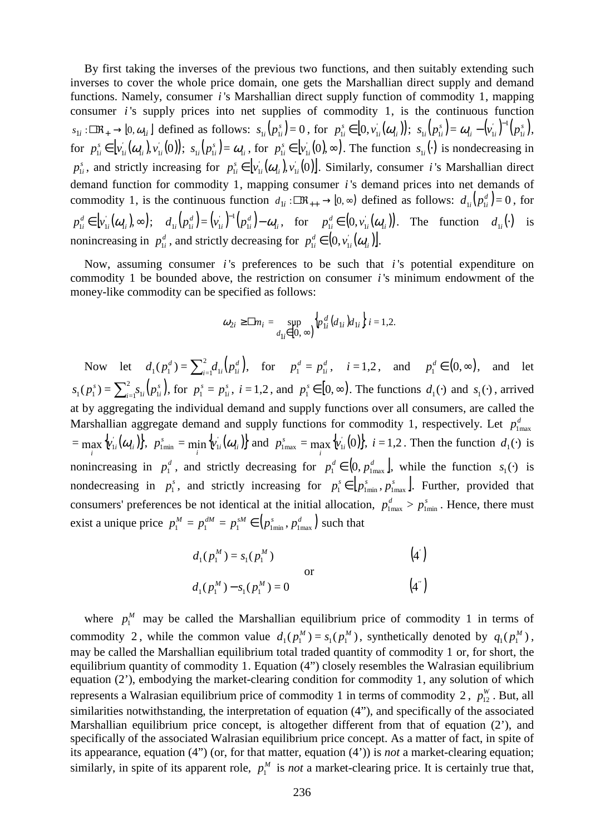By first taking the inverses of the previous two functions, and then suitably extending such inverses to cover the whole price domain, one gets the Marshallian direct supply and demand functions. Namely, consumer *i* 's Marshallian direct supply function of commodity 1, mapping consumer *i* 's supply prices into net supplies of commodity 1, is the continuous function  $s_{1i}$ :  $\Box R_+ \rightarrow [0, \omega_{1i}]$  defined as follows:  $s_{1i}(p_{1i}^s) = 0$  $s_{1i}(p_{1i}^s) = 0$ , for  $p_{1i}^s \in [0, v_{1i}^{'}(\omega_{1i}))$ *s*  $p_{1i}^s \in [0, v_{1i}^{'}(\mathcal{Q}_{1i})) ; s_{1i}(p_{1i}^s) = \mathcal{Q}_{1i} - (v_{1i}^{'})^{-1}(p_{1i}^s),$  $\sum_{i}^{i} -(\nu_{1i}^{'}\,)$ <sup>-1</sup> $\left(p_{1i}^{s}\right)$ *s*  $s_{1i}(p_{1i}^s) = \omega_{1i} - (v_{1i}^r)^{-1}(p_{1i}^s),$ for  $p_{1i}^s \in [v_{1i}^r(\omega_{1i}), v_{1i}^r(0)]$ ; *s*  $p_{1i}^s \in \left[v_{1i}^{'}(\omega_{1i}), v_{1i}^{'}(0)\right); \ s_{1i}(p_{1i}^s) = \omega_{1i}$  $s_{1i}(p_{1i}^s) = \omega_{1i}$ , for  $p_{1i}^s \in [v'_{1i}(0), \infty)$ . *s*  $p_{1i}^s \in \left[v_{1i}^i(0), \infty\right)$ . The function  $s_{1i}(\cdot)$  is nondecreasing in *s*  $p_{1i}^s$ , and strictly increasing for  $p_{1i}^s \in [v_{1i}^j(\omega_{1i}), v_{1i}^j(0)]$ . *s*  $p_{1i}^s \in \left[v_{1i}(\omega_{1i}), v_{1i}(0)\right]$ . Similarly, consumer *i* 's Marshallian direct demand function for commodity 1, mapping consumer *i* 's demand prices into net demands of commodity 1, is the continuous function  $d_{1i}$ :  $\Box R_{++} \to [0, \infty)$  defined as follows:  $d_{1i}(p_{1i}^d) = 0$  $d_{1i}(p_{1i}^d) = 0$ , for  $v_{1i}^d \in [v_{1i}^{''}(\omega_{1i}), \infty)$ *d*  $p_{1i}^d \in [v_{1i}^{''}(\omega_{1i}), \infty); \quad d_{1i}^{}(p_{1i}^d) = (v_{1i}^{'})^{-1}(p_{1i}^d) - \omega_{1i}$  $\int_{1i}^{1} \int_{1i}^{1} (p_{1i}^{d} - p_{2i}^{d})$ *d*  $d_{1i}(p_{1i}^d) = (v_{1i}^{'})^{-1}(p_{1i}^d) - \omega_{1i}$ , for  $p_{1i}^d \in (0, v_{1i}^{'}( \omega_{1i} ) )$ . *d*  $p_{1i}^d \in (0, v_{1i}^i(\omega_{1i}))$ . The function  $d_{1i}(\cdot)$  is nonincreasing in  $p_{1i}^d$ , and strictly decreasing for  $p_{1i}^d \in (0, v_{1i}^i(\omega_{1i}))$ . *d*  $p_{1i}^d \in (0, v_{1i}(\omega_{1i})].$ 

Now, assuming consumer *i* 's preferences to be such that *i* 's potential expenditure on commodity 1 be bounded above, the restriction on consumer *i* 's minimum endowment of the money-like commodity can be specified as follows:

$$
\omega_{2i} \geq \Box m_i = \sup_{d_{1i} \in [0, \infty)} \left\{ p_{1i}^d (d_{1i}) d_{1i} \right\} i = 1, 2.
$$

Now let  $d_1(p_1^d) = \sum_{i=1}^2 d_{1i} (p_{1i}^d)$ ,  $i=1$ <sup> $\alpha$ </sup><sup>1*i*</sup>  $\setminus P$ <sup>1*i*</sup>  $d_1(p_1^d) = \sum_{i=1}^2 d_{1i} (p_1^d)$  $p_1^d(p_1^d) = \sum_{i=1}^2 d_{1i} (p_{1i}^d)$ , for  $p_1^d = p_{1i}^d$  $p_1^d = p_{1i}^d$ ,  $i = 1,2$ , and  $p_1^d \in (0, \infty)$ , and let  $(p_{1i}^s)$ ,  $i = 1$ <sup>2</sup><sup>1*i*</sup>  $\{P_{1i}\}$  $s_1(p_1^s) = \sum_{i=1}^2 s_{1i} (p_1^s)$  $p_1(p_1^s) = \sum_{i=1}^2 s_{1i}(p_{1i}^s)$ , for  $p_1^s = p_{1i}^s$  $p_i^s = p_{ii}^s$ ,  $i = 1,2$ , and  $p_i^s \in [0, \infty)$ . The functions  $d_1(\cdot)$  and  $s_1(\cdot)$ , arrived at by aggregating the individual demand and supply functions over all consumers, are called the Marshallian aggregate demand and supply functions for commodity 1, respectively. Let  $p_{\text{1max}}^d$  $=\max_i \{v'_{1i}(\omega_{1i})\}, p'_{1\text{min}} = \min_i \{v'_{1i}(\omega_{1i})\}.$  $p_{\text{1min}}^s = \min_i \{ v_{1i}^j(\omega_{1i}) \}$  and  $p_{1\max}^s = \max_i \{ v_{1i}^j(0) \}$ ,  $p_{\text{1max}}^s = \max \{v_{1i}^i(0)\}, i = 1,2$ . Then the function  $d_1(\cdot)$  is nonincreasing in  $p_1^d$ , and strictly decreasing for  $p_1^d \in (0, p_{1max}^d]$ , while the function  $s_1(\cdot)$  is nondecreasing in  $p_1^s$ , and strictly increasing for  $p_1^s \in [p_{1\text{min}}^s, p_{1\text{max}}^s]$ . Further, provided that consumers' preferences be not identical at the initial allocation,  $p_{\text{1max}}^d > p_{\text{1min}}^s$ . Hence, there must exist a unique price  $p_1^M = p_1^{dM} = p_1^{sM} \in (p_{1\text{min}}^s, p_{1\text{max}}^d)$  such that

$$
d_1(p_1^M) = s_1(p_1^M)
$$
 or  

$$
d_1(p_1^M) - s_1(p_1^M) = 0
$$
 (4')

where  $p_1^M$  may be called the Marshallian equilibrium price of commodity 1 in terms of commodity 2, while the common value  $d_1(p_1^M) = s_1(p_1^M)$  $d_1(p_1^M) = s_1(p_1^M)$ , synthetically denoted by  $q_1(p_1^M)$  $q_1(p_1^M)$ , may be called the Marshallian equilibrium total traded quantity of commodity 1 or, for short, the equilibrium quantity of commodity 1. Equation (4") closely resembles the Walrasian equilibrium equation (2'), embodying the market-clearing condition for commodity 1, any solution of which represents a Walrasian equilibrium price of commodity 1 in terms of commodity 2,  $p_{12}^W$ . But, all similarities notwithstanding, the interpretation of equation (4"), and specifically of the associated Marshallian equilibrium price concept, is altogether different from that of equation (2'), and specifically of the associated Walrasian equilibrium price concept. As a matter of fact, in spite of its appearance, equation (4") (or, for that matter, equation (4')) is *not* a market-clearing equation; similarly, in spite of its apparent role,  $p_1^M$  is *not* a market-clearing price. It is certainly true that,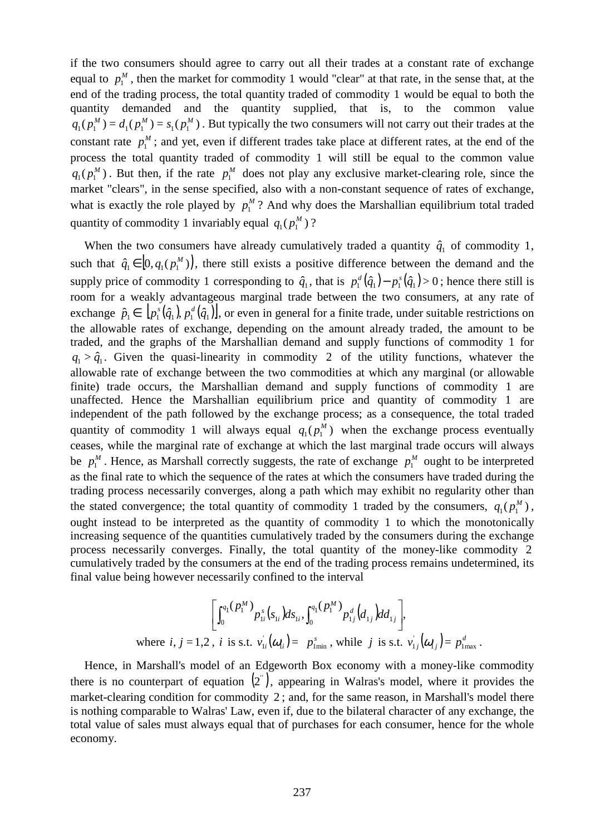if the two consumers should agree to carry out all their trades at a constant rate of exchange equal to  $p_1^M$ , then the market for commodity 1 would "clear" at that rate, in the sense that, at the end of the trading process, the total quantity traded of commodity 1 would be equal to both the quantity demanded and the quantity supplied, that is, to the common value  $s_1(p_1^M) = d_1(p_1^M) = s_1(p_1^M)$  $q_1(p_1^M) = d_1(p_1^M) = s_1(p_1^M)$ . But typically the two consumers will not carry out their trades at the constant rate  $p_1^M$ ; and yet, even if different trades take place at different rates, at the end of the process the total quantity traded of commodity 1 will still be equal to the common value  $p_1(P_1^M)$  $q_1(p_1^M)$ . But then, if the rate  $p_1^M$  does not play any exclusive market-clearing role, since the market "clears", in the sense specified, also with a non-constant sequence of rates of exchange, what is exactly the role played by  $p_1^M$ ? And why does the Marshallian equilibrium total traded quantity of commodity 1 invariably equal  $q_1(p_1^M)$  $q_1(p_1^M)$ ?

When the two consumers have already cumulatively traded a quantity  $\hat{q}_1$  of commodity 1, such that  $\hat{q}_1 \in [0, q_1(p_1^M))$ , there still exists a positive difference between the demand and the supply price of commodity 1 corresponding to  $\hat{q}_1$ , that is  $p_1^d(\hat{q}_1) - p_1^s(\hat{q}_1) > 0$ ; hence there still is room for a weakly advantageous marginal trade between the two consumers, at any rate of exchange  $\hat{p}_1 \in [p_1^s(\hat{q}_1), p_1^d(\hat{q}_1)],$  or even in general for a finite trade, under suitable restrictions on the allowable rates of exchange, depending on the amount already traded, the amount to be traded, and the graphs of the Marshallian demand and supply functions of commodity 1 for  $q_1 > \hat{q}_1$ . Given the quasi-linearity in commodity 2 of the utility functions, whatever the allowable rate of exchange between the two commodities at which any marginal (or allowable finite) trade occurs, the Marshallian demand and supply functions of commodity 1 are unaffected. Hence the Marshallian equilibrium price and quantity of commodity 1 are independent of the path followed by the exchange process; as a consequence, the total traded quantity of commodity 1 will always equal  $q_1(p_1^M)$  $q_1(p_1^M)$  when the exchange process eventually ceases, while the marginal rate of exchange at which the last marginal trade occurs will always be  $p_1^M$ . Hence, as Marshall correctly suggests, the rate of exchange  $p_1^M$  ought to be interpreted as the final rate to which the sequence of the rates at which the consumers have traded during the trading process necessarily converges, along a path which may exhibit no regularity other than the stated convergence; the total quantity of commodity 1 traded by the consumers,  $q_1(p_1^M)$  $q_1(p_1^M)$ , ought instead to be interpreted as the quantity of commodity 1 to which the monotonically increasing sequence of the quantities cumulatively traded by the consumers during the exchange process necessarily converges. Finally, the total quantity of the money-like commodity 2 cumulatively traded by the consumers at the end of the trading process remains undetermined, its final value being however necessarily confined to the interval

where 
$$
i, j = 1,2
$$
,  $i$  is s.t.  $v_{1i}^{'}(\omega_{1i}) = p_{1min}^s$ , while  $j$  is s.t.  $v_{1j}^{'}(\omega_{1i}) = p_{2min}^s$ , while  $j$  is s.t.  $v_{1j}^{'}(\omega_{1j}) = p_{2max}^d$ .

Hence, in Marshall's model of an Edgeworth Box economy with a money-like commodity there is no counterpart of equation  $(2)$ , appearing in Walras's model, where it provides the market-clearing condition for commodity 2 ; and, for the same reason, in Marshall's model there is nothing comparable to Walras' Law, even if, due to the bilateral character of any exchange, the total value of sales must always equal that of purchases for each consumer, hence for the whole economy.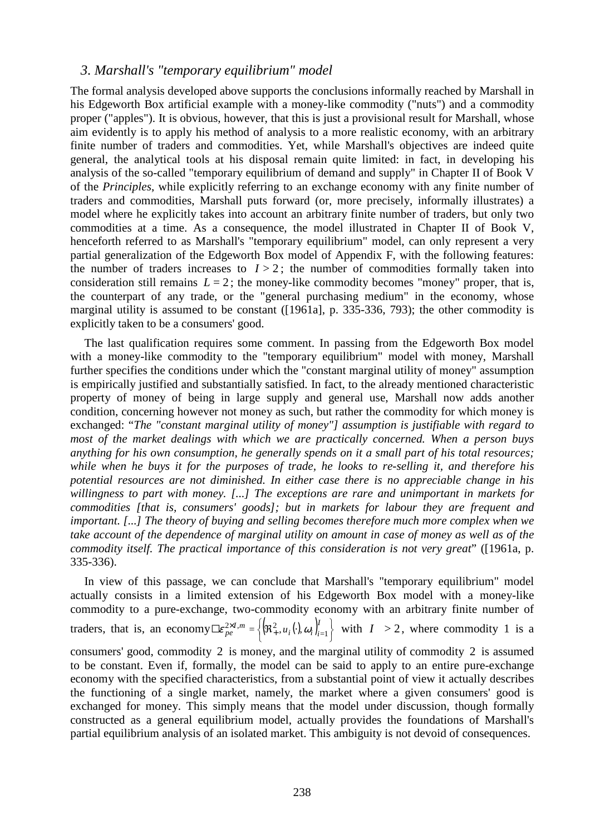#### *3. Marshall's "temporary equilibrium" model*

The formal analysis developed above supports the conclusions informally reached by Marshall in his Edgeworth Box artificial example with a money-like commodity ("nuts") and a commodity proper ("apples"). It is obvious, however, that this is just a provisional result for Marshall, whose aim evidently is to apply his method of analysis to a more realistic economy, with an arbitrary finite number of traders and commodities. Yet, while Marshall's objectives are indeed quite general, the analytical tools at his disposal remain quite limited: in fact, in developing his analysis of the so-called "temporary equilibrium of demand and supply" in Chapter II of Book V of the *Principles*, while explicitly referring to an exchange economy with any finite number of traders and commodities, Marshall puts forward (or, more precisely, informally illustrates) a model where he explicitly takes into account an arbitrary finite number of traders, but only two commodities at a time. As a consequence, the model illustrated in Chapter II of Book V, henceforth referred to as Marshall's "temporary equilibrium" model, can only represent a very partial generalization of the Edgeworth Box model of Appendix F, with the following features: the number of traders increases to  $I > 2$ ; the number of commodities formally taken into consideration still remains  $L = 2$ ; the money-like commodity becomes "money" proper, that is, the counterpart of any trade, or the "general purchasing medium" in the economy, whose marginal utility is assumed to be constant ([1961a], p. 335-336, 793); the other commodity is explicitly taken to be a consumers' good.

The last qualification requires some comment. In passing from the Edgeworth Box model with a money-like commodity to the "temporary equilibrium" model with money, Marshall further specifies the conditions under which the "constant marginal utility of money" assumption is empirically justified and substantially satisfied. In fact, to the already mentioned characteristic property of money of being in large supply and general use, Marshall now adds another condition, concerning however not money as such, but rather the commodity for which money is exchanged: "*The "constant marginal utility of money"] assumption is justifiable with regard to most of the market dealings with which we are practically concerned. When a person buys anything for his own consumption, he generally spends on it a small part of his total resources; while when he buys it for the purposes of trade, he looks to re-selling it, and therefore his potential resources are not diminished. In either case there is no appreciable change in his willingness to part with money. [...] The exceptions are rare and unimportant in markets for commodities [that is, consumers' goods]; but in markets for labour they are frequent and important.* [...] The theory of buying and selling becomes therefore much more complex when we *take account of the dependence of marginal utility on amount in case of money as well as of the commodity itself. The practical importance of this consideration is not very great*" ([1961a, p. 335-336).

In view of this passage, we can conclude that Marshall's "temporary equilibrium" model actually consists in a limited extension of his Edgeworth Box model with a money-like commodity to a pure-exchange, two-commodity economy with an arbitrary finite number of traders, that is, an economy  $\Box \varepsilon_{pe}^{2 \times I, m} = \left\{ (\mathfrak{R}^2_+, u_i(\cdot), \omega_i) \right\}_{i=1}^I \right\}$  $\chi_{e}^{xI,m} = \left\{ (\mathfrak{R}^2_+, u_i(\cdot), \omega_i) \right\}$  $\exists \epsilon_{pe}^{2\times I,m} = \left\{ \left( \Re_{+}^{2}, u_{i}(\cdot), \omega_{i} \right)_{i=1}^{I} \right\}$  with  $I > 2$ , where commodity 1 is a consumers' good, commodity 2 is money, and the marginal utility of commodity 2 is assumed to be constant. Even if, formally, the model can be said to apply to an entire pure-exchange economy with the specified characteristics, from a substantial point of view it actually describes the functioning of a single market, namely, the market where a given consumers' good is exchanged for money. This simply means that the model under discussion, though formally constructed as a general equilibrium model, actually provides the foundations of Marshall's partial equilibrium analysis of an isolated market. This ambiguity is not devoid of consequences.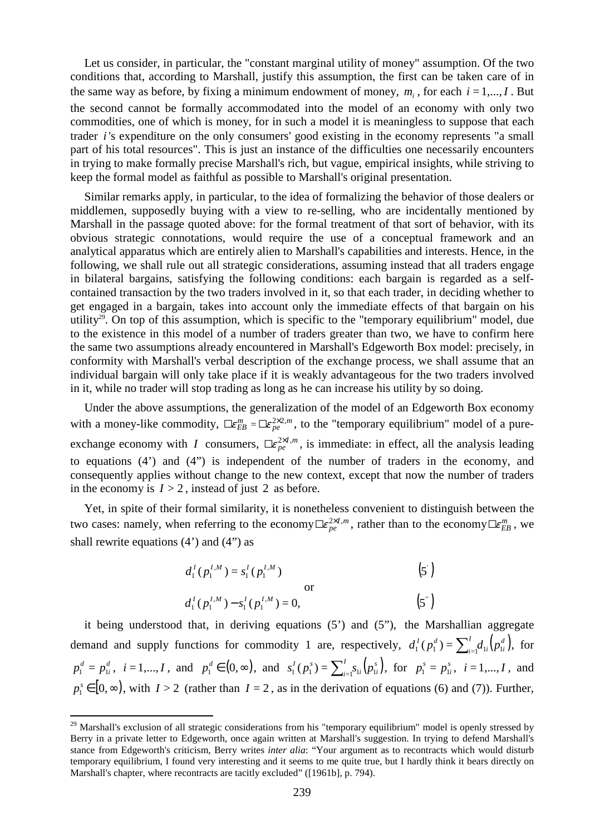Let us consider, in particular, the "constant marginal utility of money" assumption. Of the two conditions that, according to Marshall, justify this assumption, the first can be taken care of in the same way as before, by fixing a minimum endowment of money,  $m_i$ , for each  $i = 1,...,I$ . But the second cannot be formally accommodated into the model of an economy with only two commodities, one of which is money, for in such a model it is meaningless to suppose that each trader *i* 's expenditure on the only consumers' good existing in the economy represents "a small part of his total resources". This is just an instance of the difficulties one necessarily encounters in trying to make formally precise Marshall's rich, but vague, empirical insights, while striving to keep the formal model as faithful as possible to Marshall's original presentation.

Similar remarks apply, in particular, to the idea of formalizing the behavior of those dealers or middlemen, supposedly buying with a view to re-selling, who are incidentally mentioned by Marshall in the passage quoted above: for the formal treatment of that sort of behavior, with its obvious strategic connotations, would require the use of a conceptual framework and an analytical apparatus which are entirely alien to Marshall's capabilities and interests. Hence, in the following, we shall rule out all strategic considerations, assuming instead that all traders engage in bilateral bargains, satisfying the following conditions: each bargain is regarded as a selfcontained transaction by the two traders involved in it, so that each trader, in deciding whether to get engaged in a bargain, takes into account only the immediate effects of that bargain on his utility<sup>29</sup>. On top of this assumption, which is specific to the "temporary equilibrium" model, due to the existence in this model of a number of traders greater than two, we have to confirm here the same two assumptions already encountered in Marshall's Edgeworth Box model: precisely, in conformity with Marshall's verbal description of the exchange process, we shall assume that an individual bargain will only take place if it is weakly advantageous for the two traders involved in it, while no trader will stop trading as long as he can increase his utility by so doing.

Under the above assumptions, the generalization of the model of an Edgeworth Box economy with a money-like commodity,  $\Box \epsilon_{EB}^m = \Box \epsilon_{pe}^{2 \times 2,m}$ , to the "temporary equilibrium" model of a pureexchange economy with *I* consumers,  $\Box \epsilon_{pe}^{\alpha \chi I, m}$ , is immediate: in effect, all the analysis leading to equations (4') and (4") is independent of the number of traders in the economy, and consequently applies without change to the new context, except that now the number of traders in the economy is  $I > 2$ , instead of just 2 as before.

Yet, in spite of their formal similarity, it is nonetheless convenient to distinguish between the two cases: namely, when referring to the economy  $\Box \varepsilon_{pe}^{2 \times I,m}$ , rather than to the economy  $\Box \varepsilon_{EB}^m$ , we shall rewrite equations  $(4')$  and  $(4'')$  as

$$
d_1^I(p_1^{I,M}) = s_1^I(p_1^{I,M})
$$
\n
$$
d_1^I(p_1^{I,M}) - s_1^I(p_1^{I,M}) = 0,
$$
\n
$$
(5')
$$
\n
$$
(5')
$$

it being understood that, in deriving equations (5') and (5"), the Marshallian aggregate demand and supply functions for commodity 1 are, respectively,  $d_1^I(p_1^d) = \sum_{i=1}^I d_{1i}(p_i^d)$ , *i i I i*  $d_1^I(p_1^d) = \sum_{i=1}^I d_{1i}(p_{1i}^d)$ , for *d i*  $p_1^d = p_{1i}^d$ ,  $i = 1,...,I$ , and  $p_1^d \in (0,\infty)$ , and  $s_1^I(p_1^s) = \sum_{i=1}^I s_{1i}(p_{1i}^s)$ , *i i I i*  $s_1^I(p_1^s) = \sum_{i=1}^I s_{1i}(p_{1i}^s)$ , for  $p_1^s = p_{1i}^s$  $p_1^s = p_{1i}^s, i = 1,...,I$ , and  $p_1^s \in [0, \infty)$ , with *I* > 2 (rather than *I* = 2, as in the derivation of equations (6) and (7)). Further,

<sup>&</sup>lt;sup>29</sup> Marshall's exclusion of all strategic considerations from his "temporary equilibrium" model is openly stressed by Berry in a private letter to Edgeworth, once again written at Marshall's suggestion. In trying to defend Marshall's stance from Edgeworth's criticism, Berry writes *inter alia*: "Your argument as to recontracts which would disturb temporary equilibrium, I found very interesting and it seems to me quite true, but I hardly think it bears directly on Marshall's chapter, where recontracts are tacitly excluded" ([1961b], p. 794).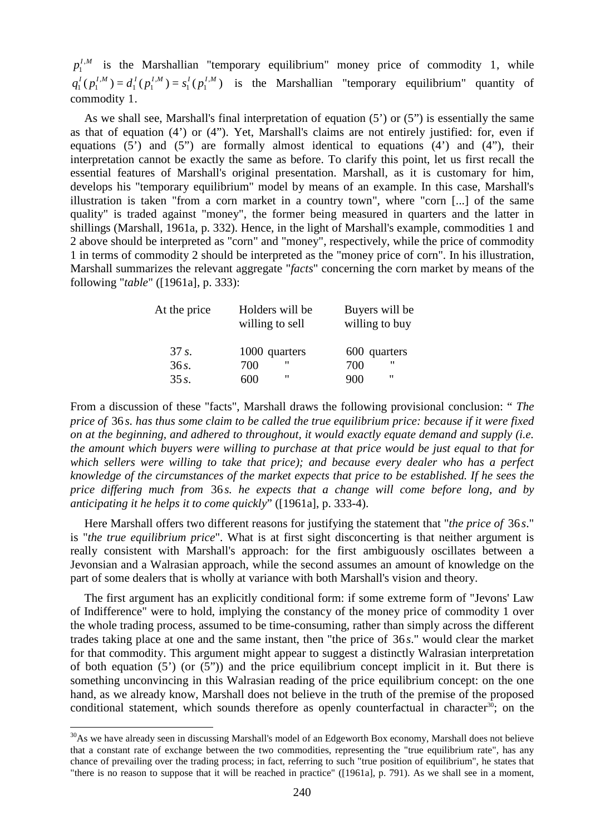$p_1^{I,M}$  $I_1^{I,M}$  is the Marshallian "temporary equilibrium" money price of commodity 1, while  $(p_1^{I,M}) = d_1^I(p_1^{I,M}) = s_1^I(p_1^{I,M})$  $1 V_1$ ,  $1 V_1$ ,  $1 \, \mathcal{V}$  $q_1^I(p_1^{I,M}) = d_1^I(p_1^{I,M}) = s_1^I(p_1^{I,M})$  is the Marshallian "temporary equilibrium" quantity of commodity 1.

As we shall see, Marshall's final interpretation of equation (5') or (5") is essentially the same as that of equation (4') or (4"). Yet, Marshall's claims are not entirely justified: for, even if equations  $(5')$  and  $(5'')$  are formally almost identical to equations  $(4')$  and  $(4'')$ , their interpretation cannot be exactly the same as before. To clarify this point, let us first recall the essential features of Marshall's original presentation. Marshall, as it is customary for him, develops his "temporary equilibrium" model by means of an example. In this case, Marshall's illustration is taken "from a corn market in a country town", where "corn [...] of the same quality" is traded against "money", the former being measured in quarters and the latter in shillings (Marshall, 1961a, p. 332). Hence, in the light of Marshall's example, commodities 1 and 2 above should be interpreted as "corn" and "money", respectively, while the price of commodity 1 in terms of commodity 2 should be interpreted as the "money price of corn". In his illustration, Marshall summarizes the relevant aggregate "*facts*" concerning the corn market by means of the following "*table*" ([1961a], p. 333):

| At the price | Holders will be<br>willing to sell | Buyers will be<br>willing to buy |
|--------------|------------------------------------|----------------------------------|
| 37 s.        | 1000 quarters                      | 600 quarters                     |
| 36s.         | "<br>700                           | "<br>700                         |
| $35s$ .      | "<br>600                           | "<br>900                         |

From a discussion of these "facts", Marshall draws the following provisional conclusion: " *The price of* 36 *s. has thus some claim to be called the true equilibrium price: because if it were fixed on at the beginning, and adhered to throughout, it would exactly equate demand and supply (i.e. the amount which buyers were willing to purchase at that price would be just equal to that for which sellers were willing to take that price); and because every dealer who has a perfect knowledge of the circumstances of the market expects that price to be established. If he sees the price differing much from* 36 *s. he expects that a change will come before long, and by anticipating it he helps it to come quickly*" ([1961a], p. 333-4).

Here Marshall offers two different reasons for justifying the statement that "*the price of* 36 *s*." is "*the true equilibrium price*". What is at first sight disconcerting is that neither argument is really consistent with Marshall's approach: for the first ambiguously oscillates between a Jevonsian and a Walrasian approach, while the second assumes an amount of knowledge on the part of some dealers that is wholly at variance with both Marshall's vision and theory.

The first argument has an explicitly conditional form: if some extreme form of "Jevons' Law of Indifference" were to hold, implying the constancy of the money price of commodity 1 over the whole trading process, assumed to be time-consuming, rather than simply across the different trades taking place at one and the same instant, then "the price of 36 *s*." would clear the market for that commodity. This argument might appear to suggest a distinctly Walrasian interpretation of both equation (5') (or (5")) and the price equilibrium concept implicit in it. But there is something unconvincing in this Walrasian reading of the price equilibrium concept: on the one hand, as we already know, Marshall does not believe in the truth of the premise of the proposed conditional statement, which sounds therefore as openly counterfactual in character<sup>30</sup>; on the

 $30$ As we have already seen in discussing Marshall's model of an Edgeworth Box economy, Marshall does not believe that a constant rate of exchange between the two commodities, representing the "true equilibrium rate", has any chance of prevailing over the trading process; in fact, referring to such "true position of equilibrium", he states that "there is no reason to suppose that it will be reached in practice" ([1961a], p. 791). As we shall see in a moment,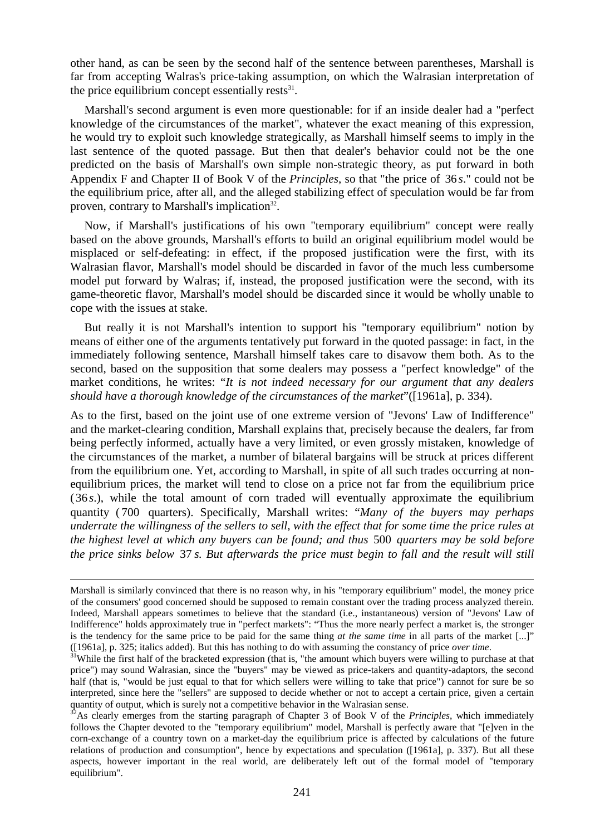other hand, as can be seen by the second half of the sentence between parentheses, Marshall is far from accepting Walras's price-taking assumption, on which the Walrasian interpretation of the price equilibrium concept essentially rests $^{31}$ .

Marshall's second argument is even more questionable: for if an inside dealer had a "perfect knowledge of the circumstances of the market", whatever the exact meaning of this expression, he would try to exploit such knowledge strategically, as Marshall himself seems to imply in the last sentence of the quoted passage. But then that dealer's behavior could not be the one predicted on the basis of Marshall's own simple non-strategic theory, as put forward in both Appendix F and Chapter II of Book V of the *Principles*, so that "the price of 36 *s*." could not be the equilibrium price, after all, and the alleged stabilizing effect of speculation would be far from proven, contrary to Marshall's implication<sup>32</sup>.

Now, if Marshall's justifications of his own "temporary equilibrium" concept were really based on the above grounds, Marshall's efforts to build an original equilibrium model would be misplaced or self-defeating: in effect, if the proposed justification were the first, with its Walrasian flavor, Marshall's model should be discarded in favor of the much less cumbersome model put forward by Walras; if, instead, the proposed justification were the second, with its game-theoretic flavor, Marshall's model should be discarded since it would be wholly unable to cope with the issues at stake.

But really it is not Marshall's intention to support his "temporary equilibrium" notion by means of either one of the arguments tentatively put forward in the quoted passage: in fact, in the immediately following sentence, Marshall himself takes care to disavow them both. As to the second, based on the supposition that some dealers may possess a "perfect knowledge" of the market conditions, he writes: "*It is not indeed necessary for our argument that any dealers should have a thorough knowledge of the circumstances of the market*"([1961a], p. 334).

As to the first, based on the joint use of one extreme version of "Jevons' Law of Indifference" and the market-clearing condition, Marshall explains that, precisely because the dealers, far from being perfectly informed, actually have a very limited, or even grossly mistaken, knowledge of the circumstances of the market, a number of bilateral bargains will be struck at prices different from the equilibrium one. Yet, according to Marshall, in spite of all such trades occurring at nonequilibrium prices, the market will tend to close on a price not far from the equilibrium price (36 *s*.), while the total amount of corn traded will eventually approximate the equilibrium quantity ( 700 quarters). Specifically, Marshall writes: "*Many of the buyers may perhaps underrate the willingness of the sellers to sell, with the effect that for some time the price rules at the highest level at which any buyers can be found; and thus* 500 *quarters may be sold before the price sinks below* 37 *s. But afterwards the price must begin to fall and the result will still*

l

Marshall is similarly convinced that there is no reason why, in his "temporary equilibrium" model, the money price of the consumers' good concerned should be supposed to remain constant over the trading process analyzed therein. Indeed, Marshall appears sometimes to believe that the standard (i.e., instantaneous) version of "Jevons' Law of Indifference" holds approximately true in "perfect markets": "Thus the more nearly perfect a market is, the stronger is the tendency for the same price to be paid for the same thing *at the same time* in all parts of the market [...]" ([1961a], p. 325; italics added). But this has nothing to do with assuming the constancy of price *over time*.

<sup>&</sup>lt;sup>31</sup>While the first half of the bracketed expression (that is, "the amount which buyers were willing to purchase at that price") may sound Walrasian, since the "buyers" may be viewed as price-takers and quantity-adaptors, the second half (that is, "would be just equal to that for which sellers were willing to take that price") cannot for sure be so interpreted, since here the "sellers" are supposed to decide whether or not to accept a certain price, given a certain quantity of output, which is surely not a competitive behavior in the Walrasian sense.

<sup>32</sup>As clearly emerges from the starting paragraph of Chapter 3 of Book V of the *Principles*, which immediately follows the Chapter devoted to the "temporary equilibrium" model, Marshall is perfectly aware that "[e]ven in the corn-exchange of a country town on a market-day the equilibrium price is affected by calculations of the future relations of production and consumption", hence by expectations and speculation ([1961a], p. 337). But all these aspects, however important in the real world, are deliberately left out of the formal model of "temporary equilibrium".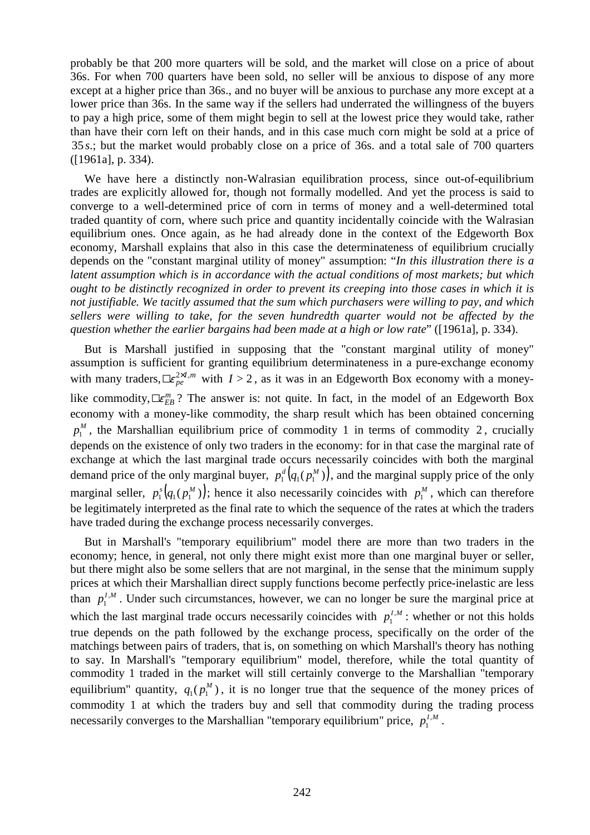probably be that 200 more quarters will be sold, and the market will close on a price of about 36s. For when 700 quarters have been sold, no seller will be anxious to dispose of any more except at a higher price than 36s., and no buyer will be anxious to purchase any more except at a lower price than 36s. In the same way if the sellers had underrated the willingness of the buyers to pay a high price, some of them might begin to sell at the lowest price they would take, rather than have their corn left on their hands, and in this case much corn might be sold at a price of 35 *s*.; but the market would probably close on a price of 36s. and a total sale of 700 quarters ([1961a], p. 334).

We have here a distinctly non-Walrasian equilibration process, since out-of-equilibrium trades are explicitly allowed for, though not formally modelled. And yet the process is said to converge to a well-determined price of corn in terms of money and a well-determined total traded quantity of corn, where such price and quantity incidentally coincide with the Walrasian equilibrium ones. Once again, as he had already done in the context of the Edgeworth Box economy, Marshall explains that also in this case the determinateness of equilibrium crucially depends on the "constant marginal utility of money" assumption: "*In this illustration there is a latent assumption which is in accordance with the actual conditions of most markets; but which ought to be distinctly recognized in order to prevent its creeping into those cases in which it is not justifiable. We tacitly assumed that the sum which purchasers were willing to pay, and which sellers were willing to take, for the seven hundredth quarter would not be affected by the question whether the earlier bargains had been made at a high or low rate*" ([1961a], p. 334).

But is Marshall justified in supposing that the "constant marginal utility of money" assumption is sufficient for granting equilibrium determinateness in a pure-exchange economy with many traders,  $\mathbb{L}_{pe}^{\infty}$  with  $I > 2$ , as it was in an Edgeworth Box economy with a moneylike commodity,  $\mathbb{L}\epsilon_{EB}^m$ ? The answer is: not quite. In fact, in the model of an Edgeworth Box economy with a money-like commodity, the sharp result which has been obtained concerning  $p_1^M$ , the Marshallian equilibrium price of commodity 1 in terms of commodity 2, crucially depends on the existence of only two traders in the economy: for in that case the marginal rate of exchange at which the last marginal trade occurs necessarily coincides with both the marginal demand price of the only marginal buyer,  $p_1^d(q_1(p_1^M))$ , and the marginal supply price of the only marginal seller,  $p_1^s(q_1(p_1^M))$ ; hence it also necessarily coincides with  $p_1^M$ , which can therefore be legitimately interpreted as the final rate to which the sequence of the rates at which the traders have traded during the exchange process necessarily converges.

But in Marshall's "temporary equilibrium" model there are more than two traders in the economy; hence, in general, not only there might exist more than one marginal buyer or seller, but there might also be some sellers that are not marginal, in the sense that the minimum supply prices at which their Marshallian direct supply functions become perfectly price-inelastic are less than  $p_1^{I,M}$  $l_1^{I,M}$ . Under such circumstances, however, we can no longer be sure the marginal price at which the last marginal trade occurs necessarily coincides with  $p_1^{I,M}$  $\int_1^{I,M}$ : whether or not this holds true depends on the path followed by the exchange process, specifically on the order of the matchings between pairs of traders, that is, on something on which Marshall's theory has nothing to say. In Marshall's "temporary equilibrium" model, therefore, while the total quantity of commodity 1 traded in the market will still certainly converge to the Marshallian "temporary equilibrium" quantity,  $q_1(p_1^M)$  $q_1(p_1^M)$ , it is no longer true that the sequence of the money prices of commodity 1 at which the traders buy and sell that commodity during the trading process necessarily converges to the Marshallian "temporary equilibrium" price,  $p_1^{I,M}$  $\int_1^{I,M}$ .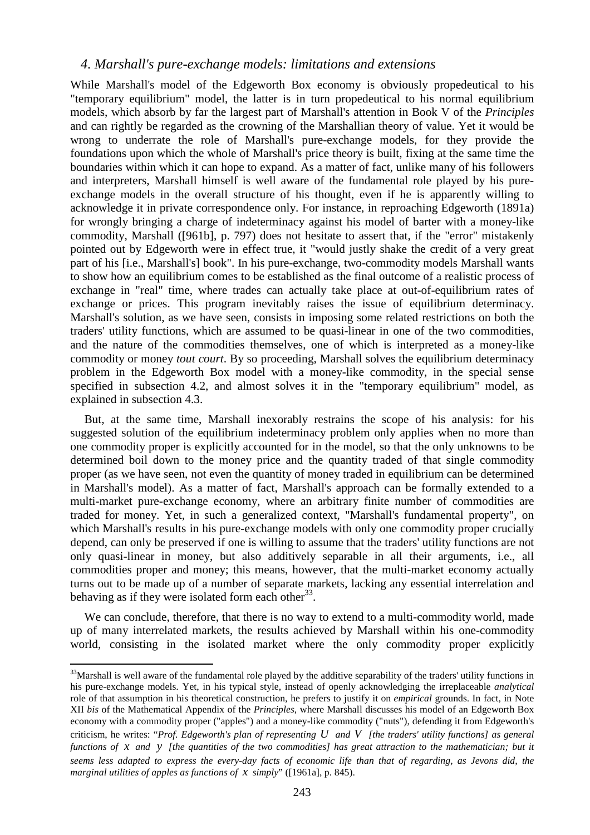#### *4. Marshall's pure-exchange models: limitations and extensions*

While Marshall's model of the Edgeworth Box economy is obviously propedeutical to his "temporary equilibrium" model, the latter is in turn propedeutical to his normal equilibrium models, which absorb by far the largest part of Marshall's attention in Book V of the *Principles* and can rightly be regarded as the crowning of the Marshallian theory of value. Yet it would be wrong to underrate the role of Marshall's pure-exchange models, for they provide the foundations upon which the whole of Marshall's price theory is built, fixing at the same time the boundaries within which it can hope to expand. As a matter of fact, unlike many of his followers and interpreters, Marshall himself is well aware of the fundamental role played by his pureexchange models in the overall structure of his thought, even if he is apparently willing to acknowledge it in private correspondence only. For instance, in reproaching Edgeworth (1891a) for wrongly bringing a charge of indeterminacy against his model of barter with a money-like commodity, Marshall ([961b], p. 797) does not hesitate to assert that, if the "error" mistakenly pointed out by Edgeworth were in effect true, it "would justly shake the credit of a very great part of his [i.e., Marshall's] book". In his pure-exchange, two-commodity models Marshall wants to show how an equilibrium comes to be established as the final outcome of a realistic process of exchange in "real" time, where trades can actually take place at out-of-equilibrium rates of exchange or prices. This program inevitably raises the issue of equilibrium determinacy. Marshall's solution, as we have seen, consists in imposing some related restrictions on both the traders' utility functions, which are assumed to be quasi-linear in one of the two commodities, and the nature of the commodities themselves, one of which is interpreted as a money-like commodity or money *tout court*. By so proceeding, Marshall solves the equilibrium determinacy problem in the Edgeworth Box model with a money-like commodity, in the special sense specified in subsection 4.2, and almost solves it in the "temporary equilibrium" model, as explained in subsection 4.3.

But, at the same time, Marshall inexorably restrains the scope of his analysis: for his suggested solution of the equilibrium indeterminacy problem only applies when no more than one commodity proper is explicitly accounted for in the model, so that the only unknowns to be determined boil down to the money price and the quantity traded of that single commodity proper (as we have seen, not even the quantity of money traded in equilibrium can be determined in Marshall's model). As a matter of fact, Marshall's approach can be formally extended to a multi-market pure-exchange economy, where an arbitrary finite number of commodities are traded for money. Yet, in such a generalized context, "Marshall's fundamental property", on which Marshall's results in his pure-exchange models with only one commodity proper crucially depend, can only be preserved if one is willing to assume that the traders' utility functions are not only quasi-linear in money, but also additively separable in all their arguments, i.e., all commodities proper and money; this means, however, that the multi-market economy actually turns out to be made up of a number of separate markets, lacking any essential interrelation and behaving as if they were isolated form each other<sup>33</sup>.

We can conclude, therefore, that there is no way to extend to a multi-commodity world, made up of many interrelated markets, the results achieved by Marshall within his one-commodity world, consisting in the isolated market where the only commodity proper explicitly

 $33$ Marshall is well aware of the fundamental role played by the additive separability of the traders' utility functions in his pure-exchange models. Yet, in his typical style, instead of openly acknowledging the irreplaceable *analytical* role of that assumption in his theoretical construction, he prefers to justify it on *empirical* grounds. In fact, in Note XII *bis* of the Mathematical Appendix of the *Principles*, where Marshall discusses his model of an Edgeworth Box economy with a commodity proper ("apples") and a money-like commodity ("nuts"), defending it from Edgeworth's criticism, he writes: "*Prof. Edgeworth's plan of representing U and V [the traders' utility functions] as general functions of x and y [the quantities of the two commodities] has great attraction to the mathematician; but it seems less adapted to express the every-day facts of economic life than that of regarding, as Jevons did, the marginal utilities of apples as functions of x simply*" ([1961a], p. 845).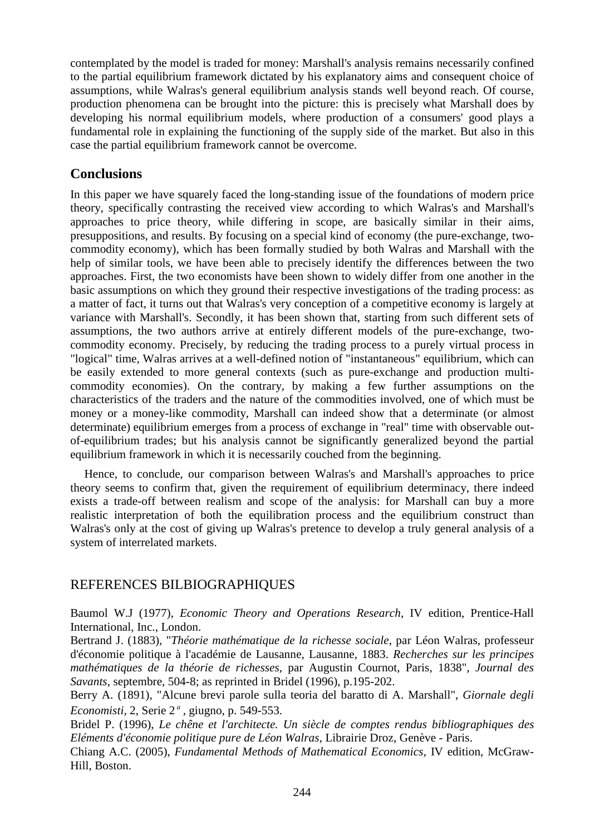contemplated by the model is traded for money: Marshall's analysis remains necessarily confined to the partial equilibrium framework dictated by his explanatory aims and consequent choice of assumptions, while Walras's general equilibrium analysis stands well beyond reach. Of course, production phenomena can be brought into the picture: this is precisely what Marshall does by developing his normal equilibrium models, where production of a consumers' good plays a fundamental role in explaining the functioning of the supply side of the market. But also in this case the partial equilibrium framework cannot be overcome.

# **Conclusions**

In this paper we have squarely faced the long-standing issue of the foundations of modern price theory, specifically contrasting the received view according to which Walras's and Marshall's approaches to price theory, while differing in scope, are basically similar in their aims, presuppositions, and results. By focusing on a special kind of economy (the pure-exchange, twocommodity economy), which has been formally studied by both Walras and Marshall with the help of similar tools, we have been able to precisely identify the differences between the two approaches. First, the two economists have been shown to widely differ from one another in the basic assumptions on which they ground their respective investigations of the trading process: as a matter of fact, it turns out that Walras's very conception of a competitive economy is largely at variance with Marshall's. Secondly, it has been shown that, starting from such different sets of assumptions, the two authors arrive at entirely different models of the pure-exchange, twocommodity economy. Precisely, by reducing the trading process to a purely virtual process in "logical" time, Walras arrives at a well-defined notion of "instantaneous" equilibrium, which can be easily extended to more general contexts (such as pure-exchange and production multicommodity economies). On the contrary, by making a few further assumptions on the characteristics of the traders and the nature of the commodities involved, one of which must be money or a money-like commodity, Marshall can indeed show that a determinate (or almost determinate) equilibrium emerges from a process of exchange in "real" time with observable outof-equilibrium trades; but his analysis cannot be significantly generalized beyond the partial equilibrium framework in which it is necessarily couched from the beginning.

Hence, to conclude, our comparison between Walras's and Marshall's approaches to price theory seems to confirm that, given the requirement of equilibrium determinacy, there indeed exists a trade-off between realism and scope of the analysis: for Marshall can buy a more realistic interpretation of both the equilibration process and the equilibrium construct than Walras's only at the cost of giving up Walras's pretence to develop a truly general analysis of a system of interrelated markets.

# REFERENCES BILBIOGRAPHIQUES

Baumol W.J (1977), *Economic Theory and Operations Research*, IV edition, Prentice-Hall International, Inc., London.

Bertrand J. (1883), "*Théorie mathématique de la richesse sociale*, par Léon Walras, professeur d'économie politique à l'académie de Lausanne, Lausanne, 1883. *Recherches sur les principes mathématiques de la théorie de richesses*, par Augustin Cournot, Paris, 1838", *Journal des Savants*, septembre, 504-8; as reprinted in Bridel (1996), p.195-202.

Berry A. (1891), "Alcune brevi parole sulla teoria del baratto di A. Marshall", *Giornale degli Economisti*, 2, Serie 2 *<sup>a</sup>* , giugno, p. 549-553.

Bridel P. (1996), *Le chêne et l'architecte. Un siècle de comptes rendus bibliographiques des Eléments d'économie politique pure de Léon Walras*, Librairie Droz, Genève - Paris.

Chiang A.C. (2005), *Fundamental Methods of Mathematical Economics*, IV edition, McGraw-Hill, Boston.